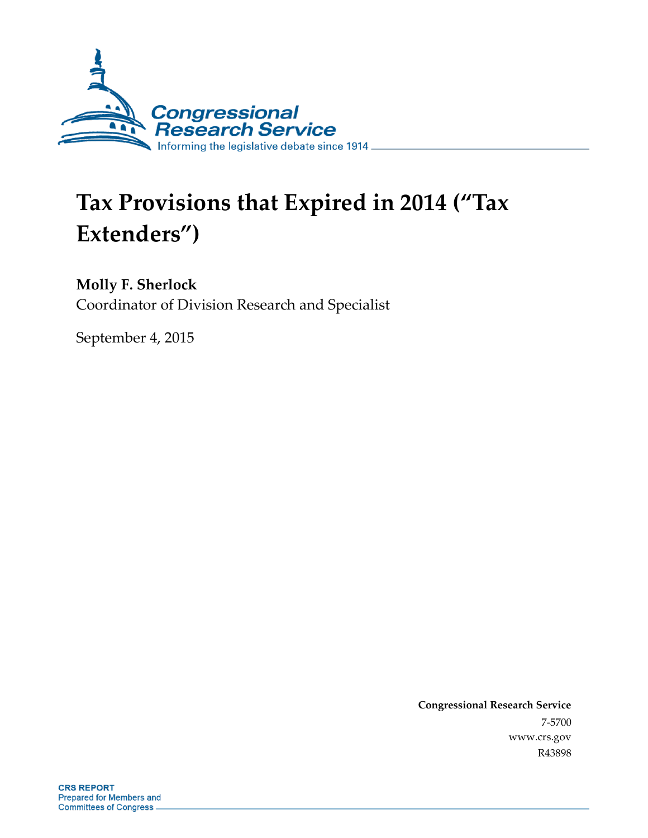

# **Tax Provisions that Expired in 2014 ("Tax Extenders")**

**Molly F. Sherlock** Coordinator of Division Research and Specialist

September 4, 2015

**Congressional Research Service** 7-5700 www.crs.gov R43898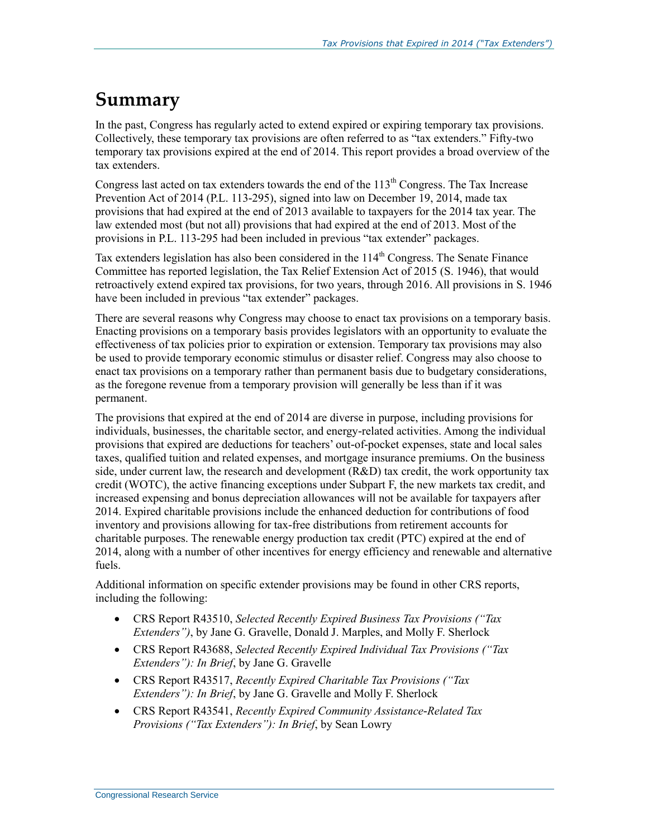# **Summary**

In the past, Congress has regularly acted to extend expired or expiring temporary tax provisions. Collectively, these temporary tax provisions are often referred to as "tax extenders." Fifty-two temporary tax provisions expired at the end of 2014. This report provides a broad overview of the tax extenders.

Congress last acted on tax extenders towards the end of the  $113<sup>th</sup>$  Congress. The Tax Increase Prevention Act of 2014 (P.L. 113-295), signed into law on December 19, 2014, made tax provisions that had expired at the end of 2013 available to taxpayers for the 2014 tax year. The law extended most (but not all) provisions that had expired at the end of 2013. Most of the provisions in P.L. 113-295 had been included in previous "tax extender" packages.

Tax extenders legislation has also been considered in the  $114<sup>th</sup>$  Congress. The Senate Finance Committee has reported legislation, the Tax Relief Extension Act of 2015 (S. 1946), that would retroactively extend expired tax provisions, for two years, through 2016. All provisions in S. 1946 have been included in previous "tax extender" packages.

There are several reasons why Congress may choose to enact tax provisions on a temporary basis. Enacting provisions on a temporary basis provides legislators with an opportunity to evaluate the effectiveness of tax policies prior to expiration or extension. Temporary tax provisions may also be used to provide temporary economic stimulus or disaster relief. Congress may also choose to enact tax provisions on a temporary rather than permanent basis due to budgetary considerations, as the foregone revenue from a temporary provision will generally be less than if it was permanent.

The provisions that expired at the end of 2014 are diverse in purpose, including provisions for individuals, businesses, the charitable sector, and energy-related activities. Among the individual provisions that expired are deductions for teachers' out-of-pocket expenses, state and local sales taxes, qualified tuition and related expenses, and mortgage insurance premiums. On the business side, under current law, the research and development  $(R&D)$  tax credit, the work opportunity tax credit (WOTC), the active financing exceptions under Subpart F, the new markets tax credit, and increased expensing and bonus depreciation allowances will not be available for taxpayers after 2014. Expired charitable provisions include the enhanced deduction for contributions of food inventory and provisions allowing for tax-free distributions from retirement accounts for charitable purposes. The renewable energy production tax credit (PTC) expired at the end of 2014, along with a number of other incentives for energy efficiency and renewable and alternative fuels.

Additional information on specific extender provisions may be found in other CRS reports, including the following:

- CRS Report R43510, *Selected Recently Expired Business Tax Provisions ("Tax Extenders")*, by Jane G. Gravelle, Donald J. Marples, and Molly F. Sherlock
- CRS Report R43688, *Selected Recently Expired Individual Tax Provisions ("Tax Extenders"): In Brief*, by Jane G. Gravelle
- CRS Report R43517, *Recently Expired Charitable Tax Provisions ("Tax Extenders"): In Brief*, by Jane G. Gravelle and Molly F. Sherlock
- CRS Report R43541, *Recently Expired Community Assistance-Related Tax Provisions ("Tax Extenders"): In Brief*, by Sean Lowry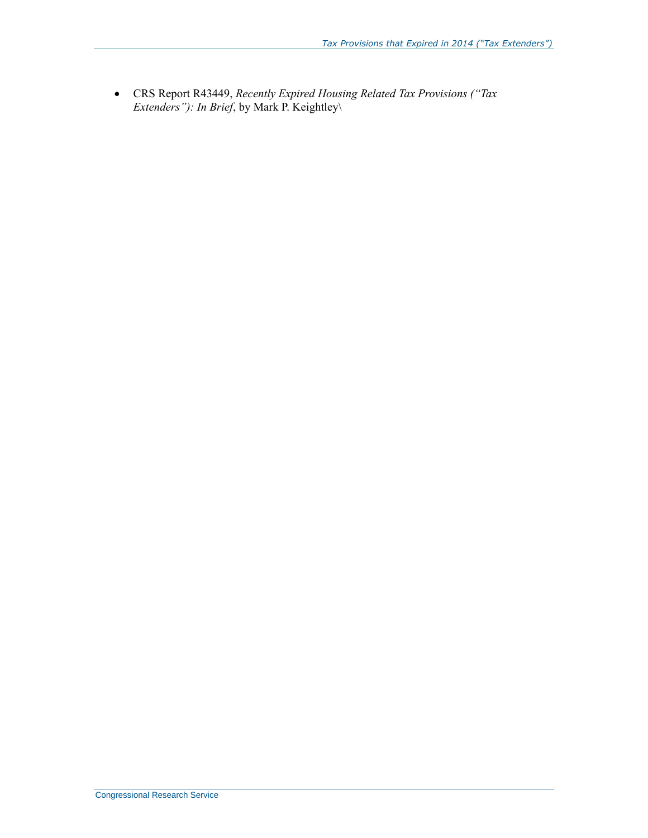CRS Report R43449, *Recently Expired Housing Related Tax Provisions ("Tax Extenders"): In Brief*, by Mark P. Keightley\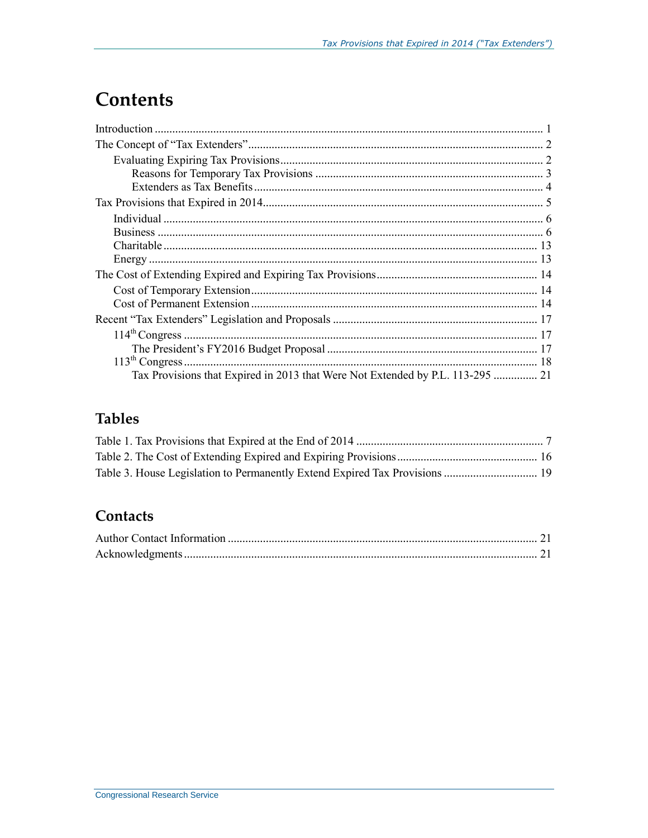# **Contents**

| Tax Provisions that Expired in 2013 that Were Not Extended by P.L. 113-295  21 |
|--------------------------------------------------------------------------------|

# **Tables**

### Contacts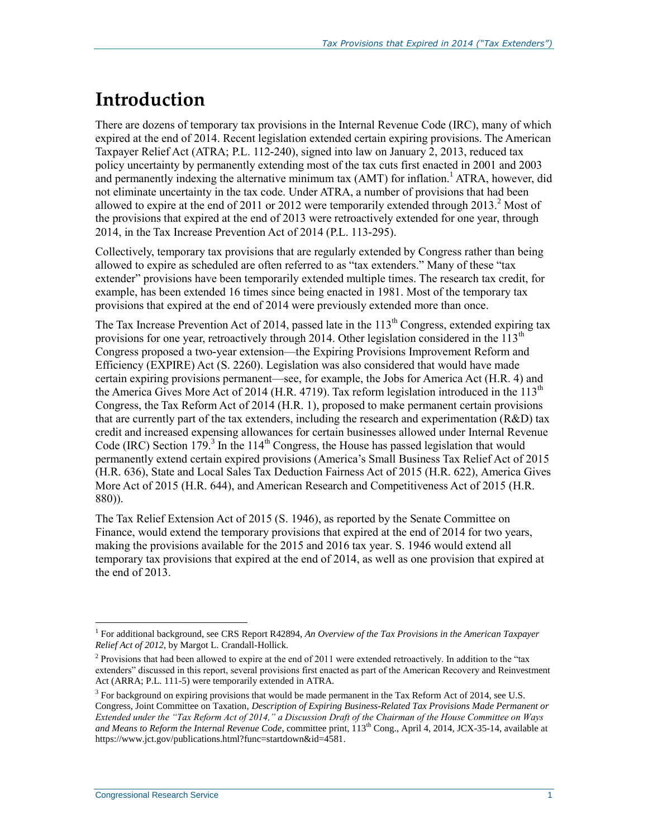# **Introduction**

There are dozens of temporary tax provisions in the Internal Revenue Code (IRC), many of which expired at the end of 2014. Recent legislation extended certain expiring provisions. The American Taxpayer Relief Act (ATRA; P.L. 112-240), signed into law on January 2, 2013, reduced tax policy uncertainty by permanently extending most of the tax cuts first enacted in 2001 and 2003 and permanently indexing the alternative minimum tax (AMT) for inflation.<sup>1</sup> ATRA, however, did not eliminate uncertainty in the tax code. Under ATRA, a number of provisions that had been allowed to expire at the end of 2011 or 2012 were temporarily extended through 2013.<sup>2</sup> Most of the provisions that expired at the end of 2013 were retroactively extended for one year, through 2014, in the Tax Increase Prevention Act of 2014 (P.L. 113-295).

Collectively, temporary tax provisions that are regularly extended by Congress rather than being allowed to expire as scheduled are often referred to as "tax extenders." Many of these "tax extender" provisions have been temporarily extended multiple times. The research tax credit, for example, has been extended 16 times since being enacted in 1981. Most of the temporary tax provisions that expired at the end of 2014 were previously extended more than once.

The Tax Increase Prevention Act of 2014, passed late in the  $113<sup>th</sup>$  Congress, extended expiring tax provisions for one year, retroactively through 2014. Other legislation considered in the  $113<sup>th</sup>$ Congress proposed a two-year extension—the Expiring Provisions Improvement Reform and Efficiency (EXPIRE) Act (S. 2260). Legislation was also considered that would have made certain expiring provisions permanent—see, for example, the Jobs for America Act (H.R. 4) and the America Gives More Act of 2014 (H.R. 4719). Tax reform legislation introduced in the  $113<sup>th</sup>$ Congress, the Tax Reform Act of 2014 (H.R. 1), proposed to make permanent certain provisions that are currently part of the tax extenders, including the research and experimentation (R&D) tax credit and increased expensing allowances for certain businesses allowed under Internal Revenue Code (IRC) Section 179.<sup>3</sup> In the 114<sup>th</sup> Congress, the House has passed legislation that would permanently extend certain expired provisions (America's Small Business Tax Relief Act of 2015 (H.R. 636), State and Local Sales Tax Deduction Fairness Act of 2015 (H.R. 622), America Gives More Act of 2015 (H.R. 644), and American Research and Competitiveness Act of 2015 (H.R. 880)).

The Tax Relief Extension Act of 2015 (S. 1946), as reported by the Senate Committee on Finance, would extend the temporary provisions that expired at the end of 2014 for two years, making the provisions available for the 2015 and 2016 tax year. S. 1946 would extend all temporary tax provisions that expired at the end of 2014, as well as one provision that expired at the end of 2013.

<sup>&</sup>lt;sup>1</sup> For additional background, see CRS Report R42894, An Overview of the Tax Provisions in the American Taxpayer *Relief Act of 2012*, by Margot L. Crandall-Hollick.

<sup>&</sup>lt;sup>2</sup> Provisions that had been allowed to expire at the end of 2011 were extended retroactively. In addition to the "tax" extenders" discussed in this report, several provisions first enacted as part of the American Recovery and Reinvestment Act (ARRA; P.L. 111-5) were temporarily extended in ATRA.

<sup>&</sup>lt;sup>3</sup> For background on expiring provisions that would be made permanent in the Tax Reform Act of 2014, see U.S. Congress, Joint Committee on Taxation, *Description of Expiring Business-Related Tax Provisions Made Permanent or Extended under the "Tax Reform Act of 2014," a Discussion Draft of the Chairman of the House Committee on Ways and Means to Reform the Internal Revenue Code*, committee print, 113th Cong., April 4, 2014, JCX-35-14, available at https://www.jct.gov/publications.html?func=startdown&id=4581.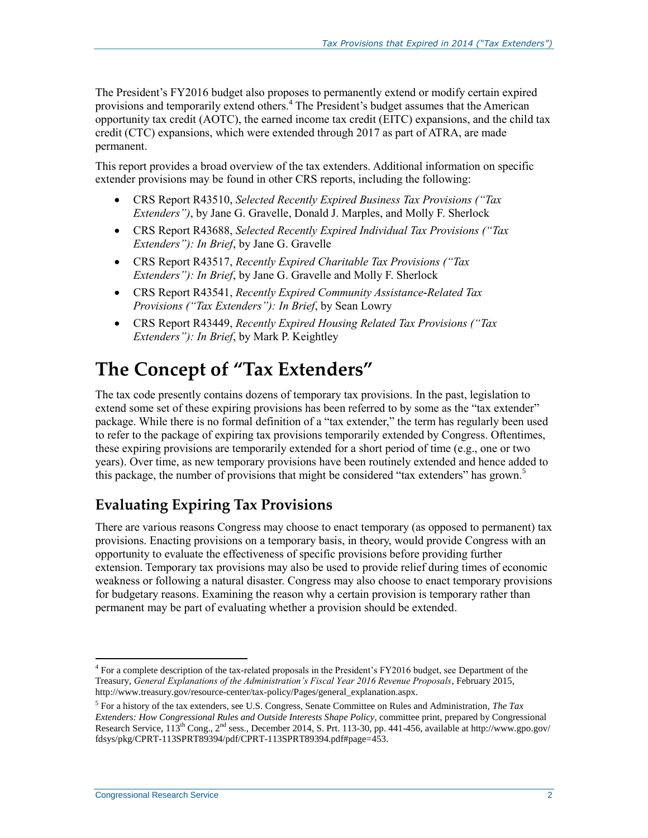The President's FY2016 budget also proposes to permanently extend or modify certain expired provisions and temporarily extend others.<sup>4</sup> The President's budget assumes that the American opportunity tax credit (AOTC), the earned income tax credit (EITC) expansions, and the child tax credit (CTC) expansions, which were extended through 2017 as part of ATRA, are made permanent.

This report provides a broad overview of the tax extenders. Additional information on specific extender provisions may be found in other CRS reports, including the following:

- CRS Report R43510, *Selected Recently Expired Business Tax Provisions ("Tax Extenders")*, by Jane G. Gravelle, Donald J. Marples, and Molly F. Sherlock
- CRS Report R43688, *Selected Recently Expired Individual Tax Provisions ("Tax Extenders"): In Brief*, by Jane G. Gravelle
- CRS Report R43517, *Recently Expired Charitable Tax Provisions ("Tax Extenders"): In Brief*, by Jane G. Gravelle and Molly F. Sherlock
- CRS Report R43541, *Recently Expired Community Assistance-Related Tax Provisions ("Tax Extenders"): In Brief*, by Sean Lowry
- CRS Report R43449, *Recently Expired Housing Related Tax Provisions ("Tax Extenders"): In Brief*, by Mark P. Keightley

# **The Concept of "Tax Extenders"**

The tax code presently contains dozens of temporary tax provisions. In the past, legislation to extend some set of these expiring provisions has been referred to by some as the "tax extender" package. While there is no formal definition of a "tax extender," the term has regularly been used to refer to the package of expiring tax provisions temporarily extended by Congress. Oftentimes, these expiring provisions are temporarily extended for a short period of time (e.g., one or two years). Over time, as new temporary provisions have been routinely extended and hence added to this package, the number of provisions that might be considered "tax extenders" has grown. $5$ 

# **Evaluating Expiring Tax Provisions**

There are various reasons Congress may choose to enact temporary (as opposed to permanent) tax provisions. Enacting provisions on a temporary basis, in theory, would provide Congress with an opportunity to evaluate the effectiveness of specific provisions before providing further extension. Temporary tax provisions may also be used to provide relief during times of economic weakness or following a natural disaster. Congress may also choose to enact temporary provisions for budgetary reasons. Examining the reason why a certain provision is temporary rather than permanent may be part of evaluating whether a provision should be extended.

<sup>&</sup>lt;sup>4</sup> For a complete description of the tax-related proposals in the President's FY2016 budget, see Department of the Treasury, *General Explanations of the Administration's Fiscal Year 2016 Revenue Proposals*, February 2015, http://www.treasury.gov/resource-center/tax-policy/Pages/general\_explanation.aspx.

<sup>5</sup> For a history of the tax extenders, see U.S. Congress, Senate Committee on Rules and Administration, *The Tax Extenders: How Congressional Rules and Outside Interests Shape Policy*, committee print, prepared by Congressional Research Service, 113<sup>th</sup> Cong., 2<sup>nd</sup> sess., December 2014, S. Prt. 113-30, pp. 441-456, available at http://www.gpo.gov/ fdsys/pkg/CPRT-113SPRT89394/pdf/CPRT-113SPRT89394.pdf#page=453.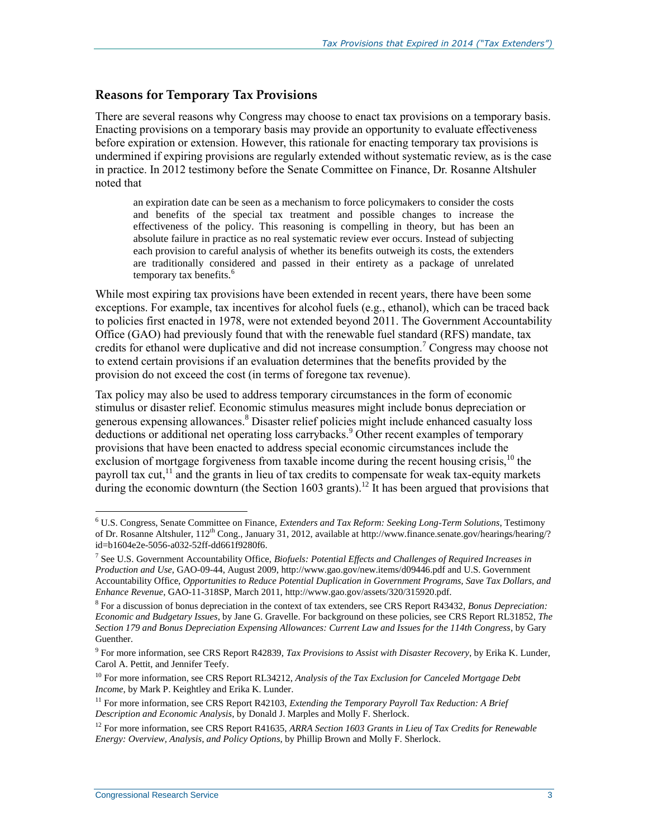#### **Reasons for Temporary Tax Provisions**

There are several reasons why Congress may choose to enact tax provisions on a temporary basis. Enacting provisions on a temporary basis may provide an opportunity to evaluate effectiveness before expiration or extension. However, this rationale for enacting temporary tax provisions is undermined if expiring provisions are regularly extended without systematic review, as is the case in practice. In 2012 testimony before the Senate Committee on Finance, Dr. Rosanne Altshuler noted that

an expiration date can be seen as a mechanism to force policymakers to consider the costs and benefits of the special tax treatment and possible changes to increase the effectiveness of the policy. This reasoning is compelling in theory, but has been an absolute failure in practice as no real systematic review ever occurs. Instead of subjecting each provision to careful analysis of whether its benefits outweigh its costs, the extenders are traditionally considered and passed in their entirety as a package of unrelated temporary tax benefits.<sup>6</sup>

While most expiring tax provisions have been extended in recent years, there have been some exceptions. For example, tax incentives for alcohol fuels (e.g., ethanol), which can be traced back to policies first enacted in 1978, were not extended beyond 2011. The Government Accountability Office (GAO) had previously found that with the renewable fuel standard (RFS) mandate, tax credits for ethanol were duplicative and did not increase consumption.<sup>7</sup> Congress may choose not to extend certain provisions if an evaluation determines that the benefits provided by the provision do not exceed the cost (in terms of foregone tax revenue).

Tax policy may also be used to address temporary circumstances in the form of economic stimulus or disaster relief. Economic stimulus measures might include bonus depreciation or generous expensing allowances.<sup>8</sup> Disaster relief policies might include enhanced casualty loss deductions or additional net operating loss carrybacks.<sup>9</sup> Other recent examples of temporary provisions that have been enacted to address special economic circumstances include the exclusion of mortgage forgiveness from taxable income during the recent housing crisis,<sup>10</sup> the payroll tax cut,<sup>11</sup> and the grants in lieu of tax credits to compensate for weak tax-equity markets during the economic downturn (the Section 1603 grants).<sup>12</sup> It has been argued that provisions that

<sup>6</sup> U.S. Congress, Senate Committee on Finance, *Extenders and Tax Reform: Seeking Long-Term Solutions*, Testimony of Dr. Rosanne Altshuler,  $112^{th}$  Cong., January 31, 2012, available at http://www.finance.senate.gov/hearings/hearing/? id=b1604e2e-5056-a032-52ff-dd661f9280f6.

<sup>7</sup> See U.S. Government Accountability Office, *Biofuels: Potential Effects and Challenges of Required Increases in Production and Use*, GAO-09-44, August 2009, http://www.gao.gov/new.items/d09446.pdf and U.S. Government Accountability Office, *Opportunities to Reduce Potential Duplication in Government Programs, Save Tax Dollars, and Enhance Revenue*, GAO-11-318SP, March 2011, http://www.gao.gov/assets/320/315920.pdf.

<sup>8</sup> For a discussion of bonus depreciation in the context of tax extenders, see CRS Report R43432, *Bonus Depreciation: Economic and Budgetary Issues*, by Jane G. Gravelle. For background on these policies, see CRS Report RL31852, *The Section 179 and Bonus Depreciation Expensing Allowances: Current Law and Issues for the 114th Congress*, by Gary Guenther.

<sup>9</sup> For more information, see CRS Report R42839, *Tax Provisions to Assist with Disaster Recovery*, by Erika K. Lunder, Carol A. Pettit, and Jennifer Teefy.

<sup>10</sup> For more information, see CRS Report RL34212, *Analysis of the Tax Exclusion for Canceled Mortgage Debt Income*, by Mark P. Keightley and Erika K. Lunder.

<sup>&</sup>lt;sup>11</sup> For more information, see CRS Report R42103, *Extending the Temporary Payroll Tax Reduction: A Brief Description and Economic Analysis*, by Donald J. Marples and Molly F. Sherlock.

<sup>&</sup>lt;sup>12</sup> For more information, see CRS Report R41635, *ARRA Section 1603 Grants in Lieu of Tax Credits for Renewable Energy: Overview, Analysis, and Policy Options*, by Phillip Brown and Molly F. Sherlock.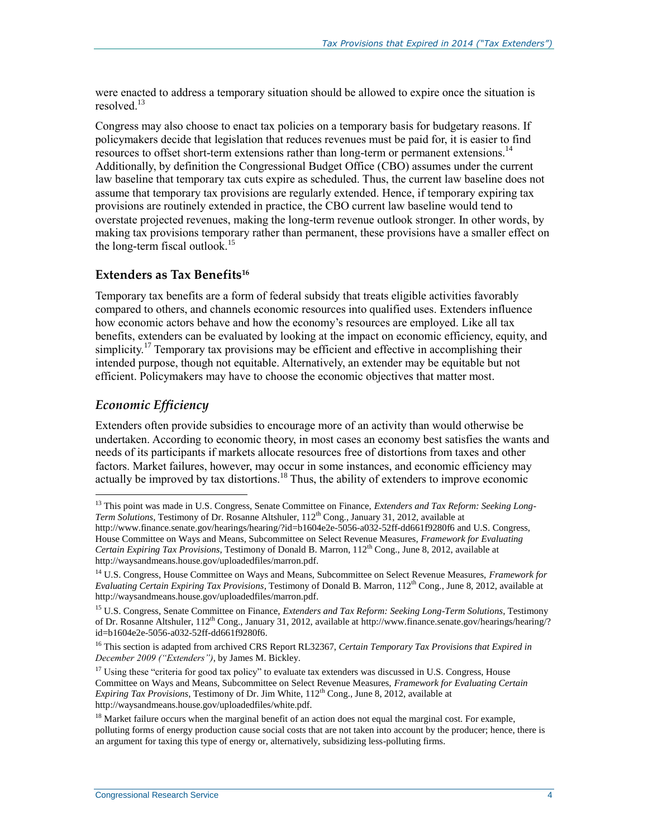were enacted to address a temporary situation should be allowed to expire once the situation is resolved.<sup>13</sup>

Congress may also choose to enact tax policies on a temporary basis for budgetary reasons. If policymakers decide that legislation that reduces revenues must be paid for, it is easier to find resources to offset short-term extensions rather than long-term or permanent extensions.<sup>14</sup> Additionally, by definition the Congressional Budget Office (CBO) assumes under the current law baseline that temporary tax cuts expire as scheduled. Thus, the current law baseline does not assume that temporary tax provisions are regularly extended. Hence, if temporary expiring tax provisions are routinely extended in practice, the CBO current law baseline would tend to overstate projected revenues, making the long-term revenue outlook stronger. In other words, by making tax provisions temporary rather than permanent, these provisions have a smaller effect on the long-term fiscal outlook.<sup>15</sup>

#### **Extenders as Tax Benefits<sup>16</sup>**

Temporary tax benefits are a form of federal subsidy that treats eligible activities favorably compared to others, and channels economic resources into qualified uses. Extenders influence how economic actors behave and how the economy's resources are employed. Like all tax benefits, extenders can be evaluated by looking at the impact on economic efficiency, equity, and simplicity.<sup>17</sup> Temporary tax provisions may be efficient and effective in accomplishing their intended purpose, though not equitable. Alternatively, an extender may be equitable but not efficient. Policymakers may have to choose the economic objectives that matter most.

#### *Economic Efficiency*

 $\overline{a}$ 

Extenders often provide subsidies to encourage more of an activity than would otherwise be undertaken. According to economic theory, in most cases an economy best satisfies the wants and needs of its participants if markets allocate resources free of distortions from taxes and other factors. Market failures, however, may occur in some instances, and economic efficiency may actually be improved by tax distortions.<sup>18</sup> Thus, the ability of extenders to improve economic

<sup>&</sup>lt;sup>13</sup> This point was made in U.S. Congress, Senate Committee on Finance, *Extenders and Tax Reform: Seeking Long-Term Solutions*, Testimony of Dr. Rosanne Altshuler, 112<sup>th</sup> Cong., January 31, 2012, available at http://www.finance.senate.gov/hearings/hearing/?id=b1604e2e-5056-a032-52ff-dd661f9280f6 and U.S. Congress, House Committee on Ways and Means, Subcommittee on Select Revenue Measures, *Framework for Evaluating Certain Expiring Tax Provisions*, Testimony of Donald B. Marron, 112th Cong., June 8, 2012, available at http://waysandmeans.house.gov/uploadedfiles/marron.pdf.

<sup>14</sup> U.S. Congress, House Committee on Ways and Means, Subcommittee on Select Revenue Measures, *Framework for Evaluating Certain Expiring Tax Provisions*, Testimony of Donald B. Marron, 112<sup>th</sup> Cong., June 8, 2012, available at http://waysandmeans.house.gov/uploadedfiles/marron.pdf.

<sup>15</sup> U.S. Congress, Senate Committee on Finance, *Extenders and Tax Reform: Seeking Long-Term Solutions*, Testimony of Dr. Rosanne Altshuler,  $112^{th}$  Cong., January 31, 2012, available at http://www.finance.senate.gov/hearings/hearing/? id=b1604e2e-5056-a032-52ff-dd661f9280f6.

<sup>16</sup> This section is adapted from archived CRS Report RL32367, *Certain Temporary Tax Provisions that Expired in December 2009 ("Extenders")*, by James M. Bickley.

 $17$  Using these "criteria for good tax policy" to evaluate tax extenders was discussed in U.S. Congress, House Committee on Ways and Means, Subcommittee on Select Revenue Measures, *Framework for Evaluating Certain Expiring Tax Provisions*, Testimony of Dr. Jim White, 112th Cong., June 8, 2012, available at http://waysandmeans.house.gov/uploadedfiles/white.pdf.

 $18$  Market failure occurs when the marginal benefit of an action does not equal the marginal cost. For example, polluting forms of energy production cause social costs that are not taken into account by the producer; hence, there is an argument for taxing this type of energy or, alternatively, subsidizing less-polluting firms.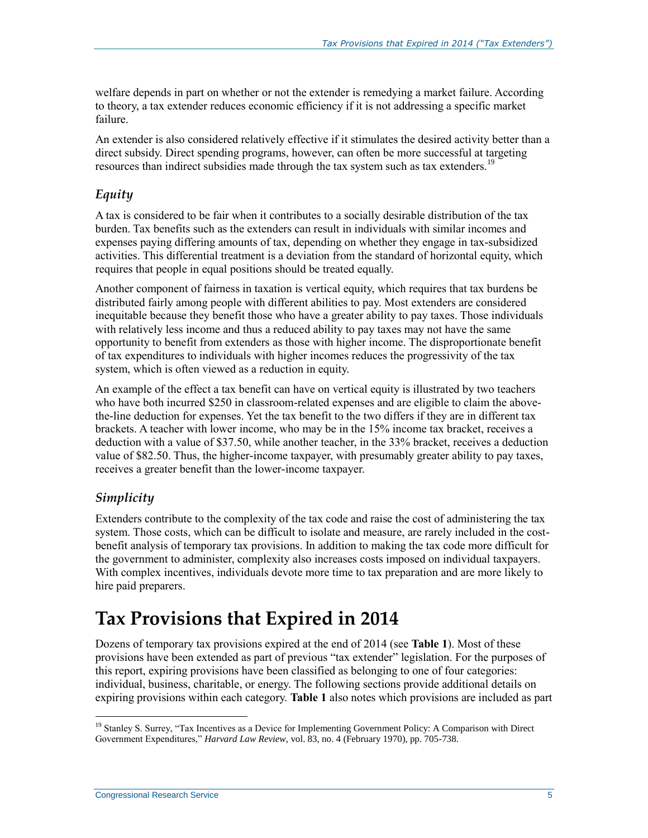welfare depends in part on whether or not the extender is remedying a market failure. According to theory, a tax extender reduces economic efficiency if it is not addressing a specific market failure.

An extender is also considered relatively effective if it stimulates the desired activity better than a direct subsidy. Direct spending programs, however, can often be more successful at targeting resources than indirect subsidies made through the tax system such as tax extenders.<sup>19</sup>

#### *Equity*

A tax is considered to be fair when it contributes to a socially desirable distribution of the tax burden. Tax benefits such as the extenders can result in individuals with similar incomes and expenses paying differing amounts of tax, depending on whether they engage in tax-subsidized activities. This differential treatment is a deviation from the standard of horizontal equity, which requires that people in equal positions should be treated equally.

Another component of fairness in taxation is vertical equity, which requires that tax burdens be distributed fairly among people with different abilities to pay. Most extenders are considered inequitable because they benefit those who have a greater ability to pay taxes. Those individuals with relatively less income and thus a reduced ability to pay taxes may not have the same opportunity to benefit from extenders as those with higher income. The disproportionate benefit of tax expenditures to individuals with higher incomes reduces the progressivity of the tax system, which is often viewed as a reduction in equity.

An example of the effect a tax benefit can have on vertical equity is illustrated by two teachers who have both incurred \$250 in classroom-related expenses and are eligible to claim the abovethe-line deduction for expenses. Yet the tax benefit to the two differs if they are in different tax brackets. A teacher with lower income, who may be in the 15% income tax bracket, receives a deduction with a value of \$37.50, while another teacher, in the 33% bracket, receives a deduction value of \$82.50. Thus, the higher-income taxpayer, with presumably greater ability to pay taxes, receives a greater benefit than the lower-income taxpayer.

#### *Simplicity*

 $\overline{a}$ 

Extenders contribute to the complexity of the tax code and raise the cost of administering the tax system. Those costs, which can be difficult to isolate and measure, are rarely included in the costbenefit analysis of temporary tax provisions. In addition to making the tax code more difficult for the government to administer, complexity also increases costs imposed on individual taxpayers. With complex incentives, individuals devote more time to tax preparation and are more likely to hire paid preparers.

# **Tax Provisions that Expired in 2014**

Dozens of temporary tax provisions expired at the end of 2014 (see **[Table 1](#page-10-0)**). Most of these provisions have been extended as part of previous "tax extender" legislation. For the purposes of this report, expiring provisions have been classified as belonging to one of four categories: individual, business, charitable, or energy. The following sections provide additional details on expiring provisions within each category. **[Table 1](#page-10-0)** also notes which provisions are included as part

<sup>&</sup>lt;sup>19</sup> Stanley S. Surrey, "Tax Incentives as a Device for Implementing Government Policy: A Comparison with Direct Government Expenditures," *Harvard Law Review*, vol. 83, no. 4 (February 1970), pp. 705-738.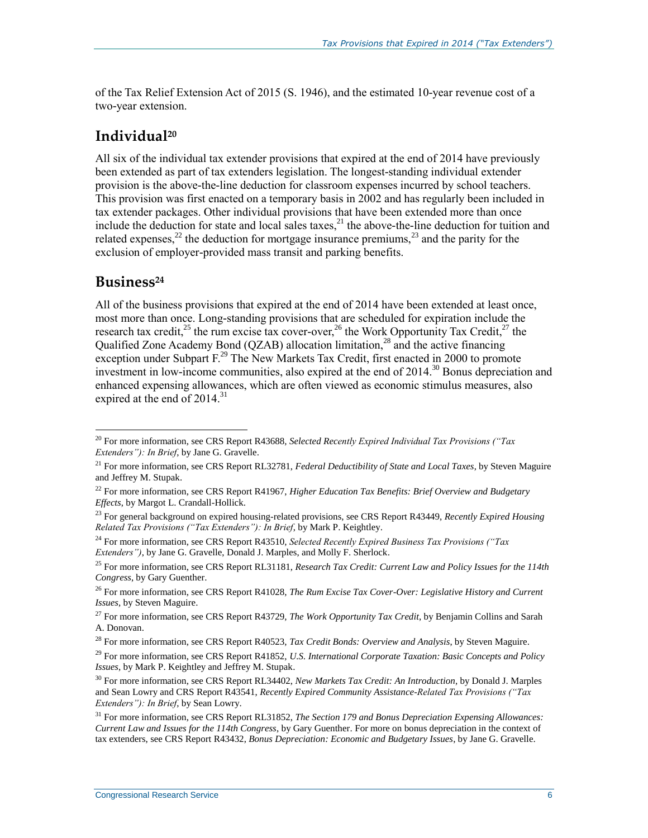of the Tax Relief Extension Act of 2015 (S. 1946), and the estimated 10-year revenue cost of a two-year extension.

### **Individual<sup>20</sup>**

All six of the individual tax extender provisions that expired at the end of 2014 have previously been extended as part of tax extenders legislation. The longest-standing individual extender provision is the above-the-line deduction for classroom expenses incurred by school teachers. This provision was first enacted on a temporary basis in 2002 and has regularly been included in tax extender packages. Other individual provisions that have been extended more than once include the deduction for state and local sales taxes,<sup>21</sup> the above-the-line deduction for tuition and related expenses,<sup>22</sup> the deduction for mortgage insurance premiums,<sup>23</sup> and the parity for the exclusion of employer-provided mass transit and parking benefits.

#### **Business<sup>24</sup>**

All of the business provisions that expired at the end of 2014 have been extended at least once, most more than once. Long-standing provisions that are scheduled for expiration include the research tax credit,<sup>25</sup> the rum excise tax cover-over,<sup>26</sup> the Work Opportunity Tax Credit,<sup>27</sup> the Qualified Zone Academy Bond (QZAB) allocation limitation,<sup>28</sup> and the active financing exception under Subpart F.<sup>29</sup> The New Markets Tax Credit, first enacted in 2000 to promote investment in low-income communities, also expired at the end of 2014.<sup>30</sup> Bonus depreciation and enhanced expensing allowances, which are often viewed as economic stimulus measures, also expired at the end of 2014.<sup>31</sup>

 $\overline{a}$ <sup>20</sup> For more information, see CRS Report R43688, *Selected Recently Expired Individual Tax Provisions ("Tax Extenders"): In Brief*, by Jane G. Gravelle.

<sup>21</sup> For more information, see CRS Report RL32781, *Federal Deductibility of State and Local Taxes*, by Steven Maguire and Jeffrey M. Stupak.

<sup>22</sup> For more information, see CRS Report R41967, *Higher Education Tax Benefits: Brief Overview and Budgetary Effects*, by Margot L. Crandall-Hollick.

<sup>23</sup> For general background on expired housing-related provisions, see CRS Report R43449, *Recently Expired Housing Related Tax Provisions ("Tax Extenders"): In Brief*, by Mark P. Keightley.

<sup>24</sup> For more information, see CRS Report R43510, *Selected Recently Expired Business Tax Provisions ("Tax Extenders")*, by Jane G. Gravelle, Donald J. Marples, and Molly F. Sherlock.

<sup>25</sup> For more information, see CRS Report RL31181, *Research Tax Credit: Current Law and Policy Issues for the 114th Congress*, by Gary Guenther.

<sup>26</sup> For more information, see CRS Report R41028, *The Rum Excise Tax Cover-Over: Legislative History and Current Issues*, by Steven Maguire.

<sup>27</sup> For more information, see CRS Report R43729, *The Work Opportunity Tax Credit*, by Benjamin Collins and Sarah A. Donovan.

<sup>28</sup> For more information, see CRS Report R40523, *Tax Credit Bonds: Overview and Analysis*, by Steven Maguire.

<sup>29</sup> For more information, see CRS Report R41852, *U.S. International Corporate Taxation: Basic Concepts and Policy Issues*, by Mark P. Keightley and Jeffrey M. Stupak.

<sup>30</sup> For more information, see CRS Report RL34402, *New Markets Tax Credit: An Introduction*, by Donald J. Marples and Sean Lowry and CRS Report R43541, *Recently Expired Community Assistance-Related Tax Provisions ("Tax Extenders"): In Brief*, by Sean Lowry.

<sup>31</sup> For more information, see CRS Report RL31852, *The Section 179 and Bonus Depreciation Expensing Allowances: Current Law and Issues for the 114th Congress*, by Gary Guenther. For more on bonus depreciation in the context of tax extenders, see CRS Report R43432, *Bonus Depreciation: Economic and Budgetary Issues*, by Jane G. Gravelle.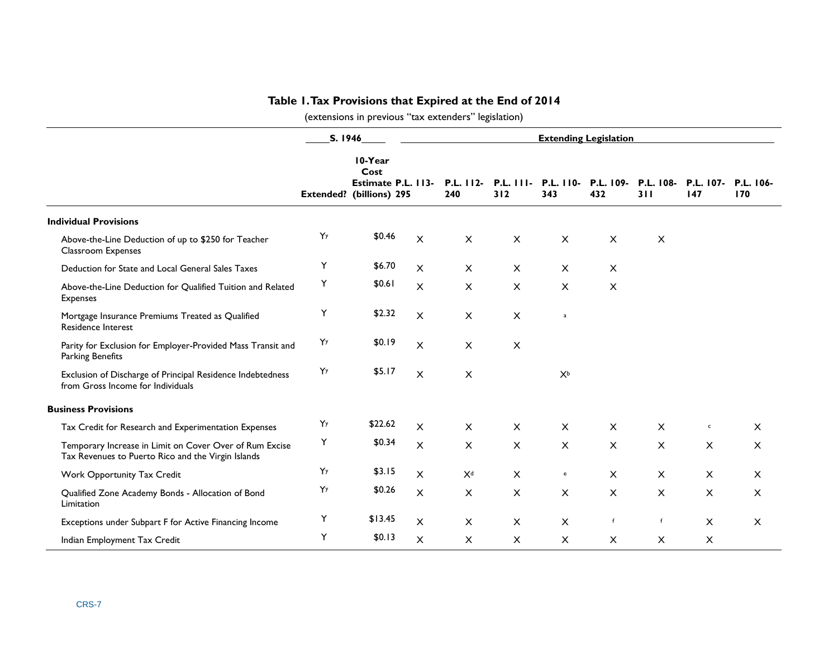### **Table 1. Tax Provisions that Expired at the End of 2014**

(extensions in previous "tax extenders" legislation)

<span id="page-10-0"></span>

|                                                                                                               | S. 1946 |                                                                   |                | <b>Extending Legislation</b> |                           |                                   |                           |                         |                  |                  |
|---------------------------------------------------------------------------------------------------------------|---------|-------------------------------------------------------------------|----------------|------------------------------|---------------------------|-----------------------------------|---------------------------|-------------------------|------------------|------------------|
|                                                                                                               |         | 10-Year<br>Cost<br>Estimate P.L. 113-<br>Extended? (billions) 295 |                | $P.L. 112-$<br>240           | $P.L.$ $I II -$<br>312    | <b>P.L. 110-</b><br>343           | P.L. 109-<br>432          | <b>P.L. 108-</b><br>311 | P.L. 107-<br>147 | P.L. 106-<br>170 |
| <b>Individual Provisions</b>                                                                                  |         |                                                                   |                |                              |                           |                                   |                           |                         |                  |                  |
| Above-the-Line Deduction of up to \$250 for Teacher<br>Classroom Expenses                                     | Yy      | \$0.46                                                            | $\pmb{\times}$ | $\pmb{\times}$               | $\pmb{\times}$            | $\pmb{\times}$                    | $\pmb{\times}$            | $\pmb{\times}$          |                  |                  |
| Deduction for State and Local General Sales Taxes                                                             | Υ       | \$6.70                                                            | X              | $\times$                     | $\times$                  | $\times$                          | X                         |                         |                  |                  |
| Above-the-Line Deduction for Qualified Tuition and Related<br>Expenses                                        | Υ       | \$0.61                                                            | $\pmb{\times}$ | $\mathsf{X}$                 | $\boldsymbol{\mathsf{X}}$ | $\pmb{\times}$                    | $\boldsymbol{\mathsf{X}}$ |                         |                  |                  |
| Mortgage Insurance Premiums Treated as Qualified<br><b>Residence Interest</b>                                 | Υ       | \$2.32                                                            | $\pmb{\times}$ | $\pmb{\times}$               | $\pmb{\times}$            | $\mathsf a$                       |                           |                         |                  |                  |
| Parity for Exclusion for Employer-Provided Mass Transit and<br><b>Parking Benefits</b>                        | YY      | \$0.19                                                            | $\mathsf{x}$   | $\pmb{\times}$               | $\times$                  |                                   |                           |                         |                  |                  |
| Exclusion of Discharge of Principal Residence Indebtedness<br>from Gross Income for Individuals               | YY      | \$5.17                                                            | X              | $\pmb{\times}$               |                           | $X^b$                             |                           |                         |                  |                  |
| <b>Business Provisions</b>                                                                                    |         |                                                                   |                |                              |                           |                                   |                           |                         |                  |                  |
| Tax Credit for Research and Experimentation Expenses                                                          | Yy      | \$22.62                                                           | $\mathsf{x}$   | $\mathsf{X}$                 | $\times$                  | $\times$                          | $\times$                  | $\pmb{\times}$          | $\mathsf{c}$     | X                |
| Temporary Increase in Limit on Cover Over of Rum Excise<br>Tax Revenues to Puerto Rico and the Virgin Islands | Y       | \$0.34                                                            | $\mathsf{x}$   | $\times$                     | $\boldsymbol{\mathsf{X}}$ | $\times$                          | X                         | X                       | X                | $\times$         |
| Work Opportunity Tax Credit                                                                                   | YY      | \$3.15                                                            | $\pmb{\times}$ | X <sup>d</sup>               | $\pmb{\times}$            | $\mathsf{e}% _{t}\left( t\right)$ | $\times$                  | $\pmb{\times}$          | $\pmb{\times}$   | $\pmb{\times}$   |
| Qualified Zone Academy Bonds - Allocation of Bond<br>Limitation                                               | Yy      | \$0.26                                                            | X              | $\pmb{\times}$               | $\pmb{\times}$            | $\times$                          | X                         | X                       | X                | X                |
| Exceptions under Subpart F for Active Financing Income                                                        | Υ       | \$13.45                                                           | X              | $\mathsf{X}$                 | $\pmb{\times}$            | X                                 | $\mathbf{f}$              | f                       | X                | $\pmb{\times}$   |
| Indian Employment Tax Credit                                                                                  | Υ       | \$0.13                                                            | $\pmb{\times}$ | $\mathsf{X}$                 | $\pmb{\times}$            | $\times$                          | $\pmb{\times}$            | $\pmb{\times}$          | X                |                  |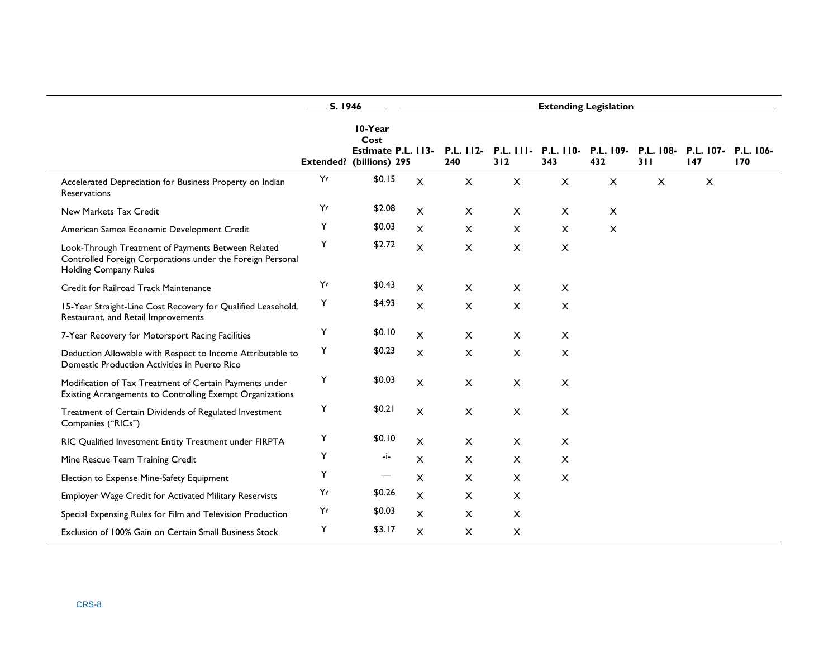|                                                                                                                                           | S. 1946 |                                                                          |                           | <b>Extending Legislation</b> |                      |                           |                  |                  |                  |                  |
|-------------------------------------------------------------------------------------------------------------------------------------------|---------|--------------------------------------------------------------------------|---------------------------|------------------------------|----------------------|---------------------------|------------------|------------------|------------------|------------------|
|                                                                                                                                           |         | 10-Year<br>Cost<br>Estimate P.L. 113-<br><b>Extended?</b> (billions) 295 |                           | $P.L. 112-$<br>240           | $P.L.$ $111-$<br>312 | <b>P.L. 110-</b><br>343   | P.L. 109-<br>432 | P.L. 108-<br>311 | P.L. 107-<br>147 | P.L. 106-<br>170 |
| Accelerated Depreciation for Business Property on Indian<br>Reservations                                                                  | Y       | \$0.15                                                                   | $\boldsymbol{\mathsf{X}}$ | $\mathsf{X}$                 | $\mathsf{X}$         | $\pmb{\times}$            | $\pmb{\times}$   | $\pmb{\times}$   | $\times$         |                  |
| New Markets Tax Credit                                                                                                                    | Yy      | \$2.08                                                                   | $\mathsf{x}$              | $\times$                     | $\times$             | $\times$                  | $\pmb{\times}$   |                  |                  |                  |
| American Samoa Economic Development Credit                                                                                                | Υ       | \$0.03                                                                   | $\mathsf{x}$              | $\times$                     | $\times$             | $\times$                  | $\mathsf{x}$     |                  |                  |                  |
| Look-Through Treatment of Payments Between Related<br>Controlled Foreign Corporations under the Foreign Personal<br>Holding Company Rules | Υ       | \$2.72                                                                   | $\pmb{\times}$            | $\times$                     | $\times$             | $\pmb{\times}$            |                  |                  |                  |                  |
| Credit for Railroad Track Maintenance                                                                                                     | Y       | \$0.43                                                                   | X                         | $\times$                     | $\times$             | $\times$                  |                  |                  |                  |                  |
| 15-Year Straight-Line Cost Recovery for Qualified Leasehold,<br>Restaurant, and Retail Improvements                                       | Υ       | \$4.93                                                                   | $\boldsymbol{\mathsf{X}}$ | X                            | X                    | $\pmb{\times}$            |                  |                  |                  |                  |
| 7-Year Recovery for Motorsport Racing Facilities                                                                                          | Υ       | \$0.10                                                                   | X                         | $\pmb{\times}$               | $\times$             | $\pmb{\times}$            |                  |                  |                  |                  |
| Deduction Allowable with Respect to Income Attributable to<br>Domestic Production Activities in Puerto Rico                               | Υ       | \$0.23                                                                   | X                         | $\times$                     | $\times$             | $\times$                  |                  |                  |                  |                  |
| Modification of Tax Treatment of Certain Payments under<br>Existing Arrangements to Controlling Exempt Organizations                      | Υ       | \$0.03                                                                   | $\times$                  | $\pmb{\times}$               | X                    | $\pmb{\times}$            |                  |                  |                  |                  |
| Treatment of Certain Dividends of Regulated Investment<br>Companies ("RICs")                                                              | Υ       | \$0.21                                                                   | $\boldsymbol{\mathsf{X}}$ | $\times$                     | $\times$             | $\pmb{\times}$            |                  |                  |                  |                  |
| RIC Qualified Investment Entity Treatment under FIRPTA                                                                                    | Υ       | \$0.10                                                                   | $\mathsf{x}$              | $\times$                     | $\pmb{\times}$       | $\boldsymbol{\mathsf{X}}$ |                  |                  |                  |                  |
| Mine Rescue Team Training Credit                                                                                                          | Υ       | -i-                                                                      | X                         | $\times$                     | $\times$             | $\times$                  |                  |                  |                  |                  |
| Election to Expense Mine-Safety Equipment                                                                                                 | Υ       | —                                                                        | $\pmb{\times}$            | $\times$                     | X                    | $\times$                  |                  |                  |                  |                  |
| Employer Wage Credit for Activated Military Reservists                                                                                    | Yy      | \$0.26                                                                   | $\mathsf{X}$              | $\times$                     | $\times$             |                           |                  |                  |                  |                  |
| Special Expensing Rules for Film and Television Production                                                                                | Yy      | \$0.03                                                                   | $\mathsf{x}$              | $\times$                     | $\times$             |                           |                  |                  |                  |                  |
| Exclusion of 100% Gain on Certain Small Business Stock                                                                                    | Υ       | \$3.17                                                                   | $\pmb{\times}$            | $\times$                     | X                    |                           |                  |                  |                  |                  |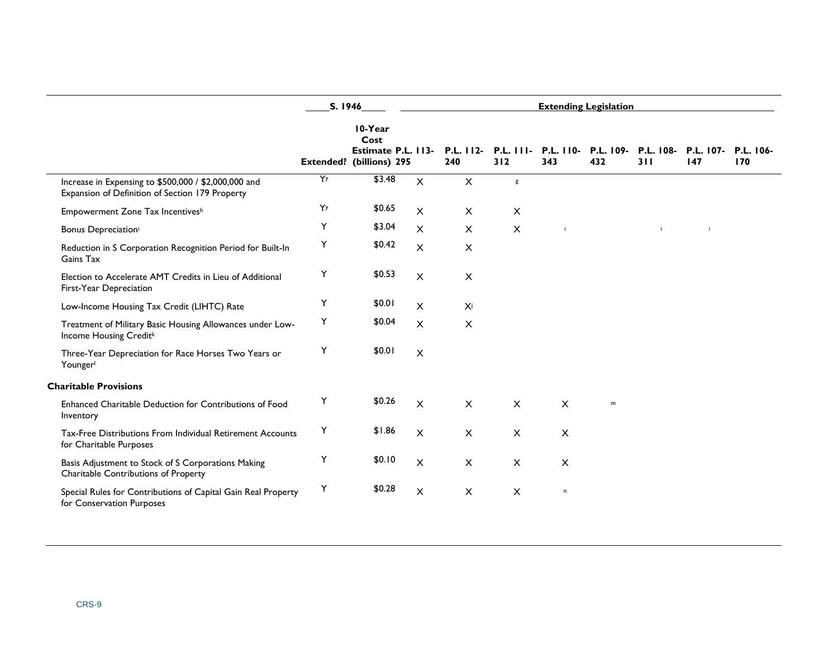|                                                                                                         | S. 1946 |                                                                   |                           | <b>Extending Legislation</b> |                      |                         |                  |                  |                            |     |
|---------------------------------------------------------------------------------------------------------|---------|-------------------------------------------------------------------|---------------------------|------------------------------|----------------------|-------------------------|------------------|------------------|----------------------------|-----|
|                                                                                                         |         | 10-Year<br>Cost<br>Estimate P.L. 113-<br>Extended? (billions) 295 |                           | P.L. 112-<br>240             | $P.L.$ $111-$<br>312 | <b>P.L. 110-</b><br>343 | P.L. 109-<br>432 | P.L. 108-<br>311 | P.L. 107- P.L. 106-<br>147 | 170 |
| Increase in Expensing to \$500,000 / \$2,000,000 and<br>Expansion of Definition of Section 179 Property | Y       | \$3.48                                                            | $\mathsf{X}$              | $\times$                     | $\sf{g}$             |                         |                  |                  |                            |     |
| Empowerment Zone Tax Incentivesh                                                                        | Yy      | \$0.65                                                            | $\mathsf{x}$              | $\times$                     | $\pmb{\times}$       |                         |                  |                  |                            |     |
| Bonus Depreciation <sup>i</sup>                                                                         | Υ       | \$3.04                                                            | $\mathsf{X}$              | $\mathsf{X}$                 | $\pmb{\times}$       | $\mathbf{i}$            |                  | j.               | j.                         |     |
| Reduction in S Corporation Recognition Period for Built-In<br>Gains Tax                                 | Υ       | \$0.42                                                            | $\pmb{\times}$            | $\pmb{\times}$               |                      |                         |                  |                  |                            |     |
| Election to Accelerate AMT Credits in Lieu of Additional<br>First-Year Depreciation                     | Y       | \$0.53                                                            | $\pmb{\times}$            | $\times$                     |                      |                         |                  |                  |                            |     |
| Low-Income Housing Tax Credit (LIHTC) Rate                                                              | Y       | \$0.01                                                            | $\pmb{\times}$            | Xi                           |                      |                         |                  |                  |                            |     |
| Treatment of Military Basic Housing Allowances under Low-<br>Income Housing Creditk                     | Υ       | \$0.04                                                            | $\pmb{\times}$            | $\boldsymbol{\mathsf{X}}$    |                      |                         |                  |                  |                            |     |
| Three-Year Depreciation for Race Horses Two Years or<br>Younger                                         | Y       | \$0.01                                                            | $\boldsymbol{\mathsf{X}}$ |                              |                      |                         |                  |                  |                            |     |
| <b>Charitable Provisions</b>                                                                            |         |                                                                   |                           |                              |                      |                         |                  |                  |                            |     |
| Enhanced Charitable Deduction for Contributions of Food<br>Inventory                                    | Y       | \$0.26                                                            | $\mathsf{x}$              | $\times$                     | $\mathsf{X}$         | X                       | m                |                  |                            |     |
| Tax-Free Distributions From Individual Retirement Accounts<br>for Charitable Purposes                   | Υ       | \$1.86                                                            | $\times$                  | $\times$                     | $\times$             | X                       |                  |                  |                            |     |
| Basis Adjustment to Stock of S Corporations Making<br>Charitable Contributions of Property              | Y       | \$0.10                                                            | $\mathsf{x}$              | $\times$                     | $\times$             | X                       |                  |                  |                            |     |
| Special Rules for Contributions of Capital Gain Real Property<br>for Conservation Purposes              | Y       | \$0.28                                                            | $\pmb{\times}$            | $\times$                     | $\pmb{\times}$       | $\,$ n                  |                  |                  |                            |     |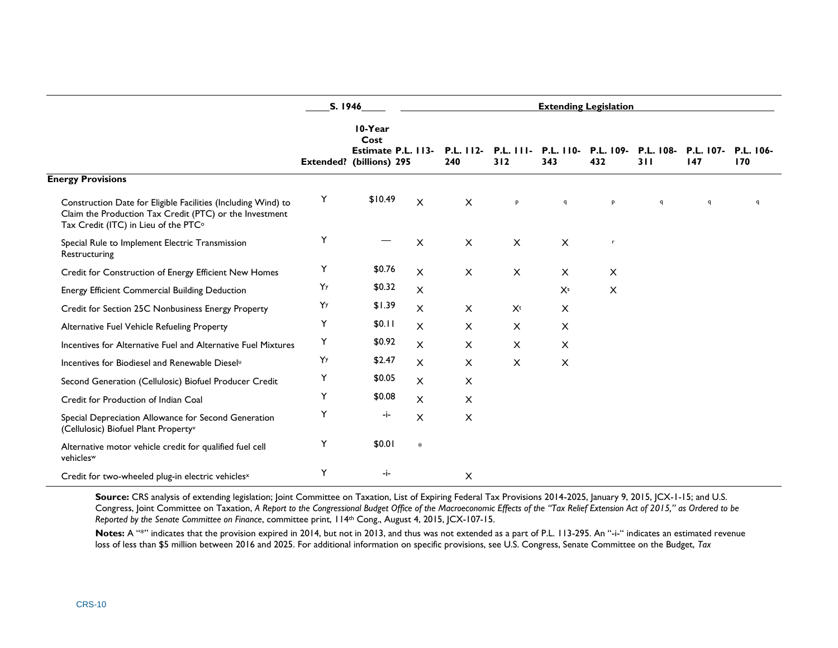|                                                                                                                                                                  | S. 1946 |                                                                          |              |                    | <b>Extending Legislation</b> |                  |                  |                  |                  |                  |
|------------------------------------------------------------------------------------------------------------------------------------------------------------------|---------|--------------------------------------------------------------------------|--------------|--------------------|------------------------------|------------------|------------------|------------------|------------------|------------------|
|                                                                                                                                                                  |         | 10-Year<br>Cost<br>Estimate P.L. 113-<br><b>Extended?</b> (billions) 295 |              | $P.L. 112-$<br>240 | $P.L.$ $I II.$<br>312        | P.L. 110-<br>343 | P.L. 109-<br>432 | P.L. 108-<br>311 | P.L. 107-<br>147 | P.L. 106-<br>170 |
| <b>Energy Provisions</b>                                                                                                                                         |         |                                                                          |              |                    |                              |                  |                  |                  |                  |                  |
| Construction Date for Eligible Facilities (Including Wind) to<br>Claim the Production Tax Credit (PTC) or the Investment<br>Tax Credit (ITC) in Lieu of the PTC° | Y       | \$10.49                                                                  | $\times$     | $\times$           | P                            | $\mathsf{q}$     | P                | $\mathsf{q}$     | $\mathsf{q}$     | $\mathsf{q}$     |
| Special Rule to Implement Electric Transmission<br>Restructuring                                                                                                 | Υ       |                                                                          | $\times$     | X                  | X                            | $\times$         | $\mathbf{r}$     |                  |                  |                  |
| Credit for Construction of Energy Efficient New Homes                                                                                                            | Υ       | \$0.76                                                                   | X            | $\times$           | $\times$                     | $\times$         | $\times$         |                  |                  |                  |
| Energy Efficient Commercial Building Deduction                                                                                                                   | Yy      | \$0.32                                                                   | X            |                    |                              | X <sup>s</sup>   | X                |                  |                  |                  |
| Credit for Section 25C Nonbusiness Energy Property                                                                                                               | Yy      | \$1.39                                                                   | X            | $\mathsf{X}$       | $X^{t}$                      | X                |                  |                  |                  |                  |
| Alternative Fuel Vehicle Refueling Property                                                                                                                      | Υ       | \$0.11                                                                   | X            | X                  | X                            | X                |                  |                  |                  |                  |
| Incentives for Alternative Fuel and Alternative Fuel Mixtures                                                                                                    | Υ       | \$0.92                                                                   | X            | $\mathsf{X}$       | $\pmb{\times}$               | X                |                  |                  |                  |                  |
| Incentives for Biodiesel and Renewable Diesel <sup>u</sup>                                                                                                       | Yy      | \$2.47                                                                   | X            | $\times$           | $\times$                     | X                |                  |                  |                  |                  |
| Second Generation (Cellulosic) Biofuel Producer Credit                                                                                                           | Υ       | \$0.05                                                                   | $\mathsf{x}$ | $\pmb{\times}$     |                              |                  |                  |                  |                  |                  |
| Credit for Production of Indian Coal                                                                                                                             | Υ       | \$0.08                                                                   | X            | $\pmb{\times}$     |                              |                  |                  |                  |                  |                  |
| Special Depreciation Allowance for Second Generation<br>(Cellulosic) Biofuel Plant Property <sup>v</sup>                                                         | Y       | -i-                                                                      | X            | $\pmb{\times}$     |                              |                  |                  |                  |                  |                  |
| Alternative motor vehicle credit for qualified fuel cell<br>vehicles <sup>w</sup>                                                                                | Υ       | \$0.01                                                                   | $\ast$       |                    |                              |                  |                  |                  |                  |                  |
| Credit for two-wheeled plug-in electric vehicles <sup>x</sup>                                                                                                    | Υ       | -j-                                                                      |              | X                  |                              |                  |                  |                  |                  |                  |

Source: CRS analysis of extending legislation; Joint Committee on Taxation, List of Expiring Federal Tax Provisions 2014-2025, January 9, 2015, JCX-1-15; and U.S. Congress, Joint Committee on Taxation, *A Report to the Congressional Budget Office of the Macroeconomic Effects of the "Tax Relief Extension Act of 2015," as Ordered to be Reported by the Senate Committee on Finance*, committee print, 114th Cong., August 4, 2015, JCX-107-15.

Notes: A "\*" indicates that the provision expired in 2014, but not in 2013, and thus was not extended as a part of P.L. 113-295. An "-i-" indicates an estimated revenue loss of less than \$5 million between 2016 and 2025. For additional information on specific provisions, see U.S. Congress, Senate Committee on the Budget, *Tax*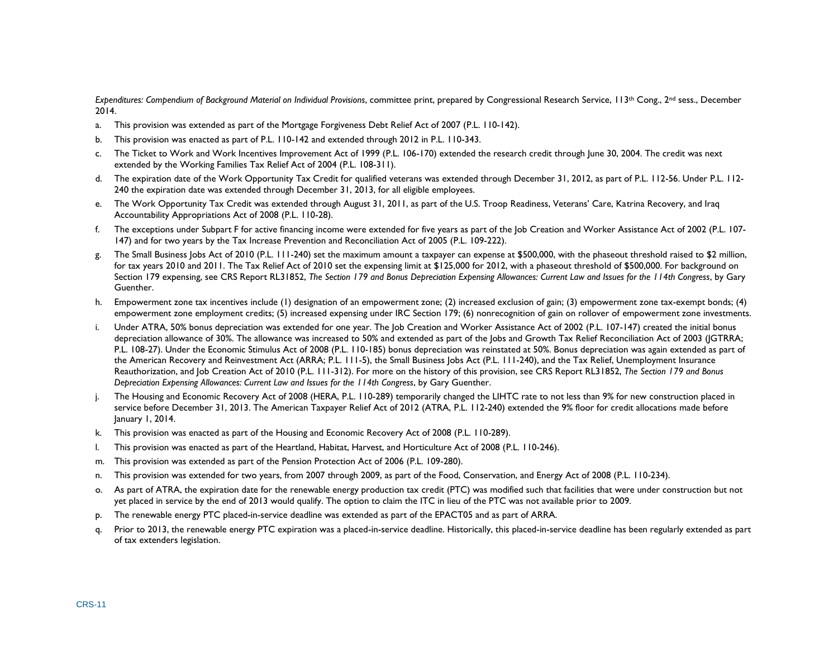*Expenditures: Compendium of Background Material on Individual Provisions*, committee print, prepared by Congressional Research Service, 113th Cong., 2nd sess., December 2014.

- <span id="page-14-0"></span>a. This provision was extended as part of the Mortgage Forgiveness Debt Relief Act of 2007 (P.L. 110-142).
- <span id="page-14-1"></span>b. This provision was enacted as part of P.L. 110-142 and extended through 2012 in P.L. 110-343.
- <span id="page-14-2"></span>c. The Ticket to Work and Work Incentives Improvement Act of 1999 (P.L. 106-170) extended the research credit through June 30, 2004. The credit was next extended by the Working Families Tax Relief Act of 2004 (P.L. 108-311).
- <span id="page-14-3"></span>d. The expiration date of the Work Opportunity Tax Credit for qualified veterans was extended through December 31, 2012, as part of P.L. 112-56. Under P.L. 112- 240 the expiration date was extended through December 31, 2013, for all eligible employees.
- <span id="page-14-4"></span>e. The Work Opportunity Tax Credit was extended through August 31, 2011, as part of the U.S. Troop Readiness, Veterans' Care, Katrina Recovery, and Iraq Accountability Appropriations Act of 2008 (P.L. 110-28).
- <span id="page-14-5"></span>f. The exceptions under Subpart F for active financing income were extended for five years as part of the Job Creation and Worker Assistance Act of 2002 (P.L. 107- 147) and for two years by the Tax Increase Prevention and Reconciliation Act of 2005 (P.L. 109-222).
- <span id="page-14-6"></span>g. The Small Business Jobs Act of 2010 (P.L. 111-240) set the maximum amount a taxpayer can expense at \$500,000, with the phaseout threshold raised to \$2 million, for tax years 2010 and 2011. The Tax Relief Act of 2010 set the expensing limit at \$125,000 for 2012, with a phaseout threshold of \$500,000. For background on Section 179 expensing, see CRS Report RL31852, *The Section 179 and Bonus Depreciation Expensing Allowances: Current Law and Issues for the 114th Congress*, by Gary Guenther.
- <span id="page-14-7"></span>h. Empowerment zone tax incentives include (1) designation of an empowerment zone; (2) increased exclusion of gain; (3) empowerment zone tax-exempt bonds; (4) empowerment zone employment credits; (5) increased expensing under IRC Section 179; (6) nonrecognition of gain on rollover of empowerment zone investments.
- <span id="page-14-8"></span>i. Under ATRA, 50% bonus depreciation was extended for one year. The Job Creation and Worker Assistance Act of 2002 (P.L. 107-147) created the initial bonus depreciation allowance of 30%. The allowance was increased to 50% and extended as part of the Jobs and Growth Tax Relief Reconciliation Act of 2003 (JGTRRA; P.L. 108-27). Under the Economic Stimulus Act of 2008 (P.L. 110-185) bonus depreciation was reinstated at 50%. Bonus depreciation was again extended as part of the American Recovery and Reinvestment Act (ARRA; P.L. 111-5), the Small Business Jobs Act (P.L. 111-240), and the Tax Relief, Unemployment Insurance Reauthorization, and Job Creation Act of 2010 (P.L. 111-312). For more on the history of this provision, see CRS Report RL31852, *The Section 179 and Bonus Depreciation Expensing Allowances: Current Law and Issues for the 114th Congress*, by Gary Guenther.
- <span id="page-14-9"></span>The Housing and Economic Recovery Act of 2008 (HERA, P.L. 110-289) temporarily changed the LIHTC rate to not less than 9% for new construction placed in service before December 31, 2013. The American Taxpayer Relief Act of 2012 (ATRA, P.L. 112-240) extended the 9% floor for credit allocations made before January 1, 2014.
- <span id="page-14-10"></span>k. This provision was enacted as part of the Housing and Economic Recovery Act of 2008 (P.L. 110-289).
- <span id="page-14-11"></span>l. This provision was enacted as part of the Heartland, Habitat, Harvest, and Horticulture Act of 2008 (P.L. 110-246).
- <span id="page-14-12"></span>m. This provision was extended as part of the Pension Protection Act of 2006 (P.L. 109-280).
- <span id="page-14-13"></span>n. This provision was extended for two years, from 2007 through 2009, as part of the Food, Conservation, and Energy Act of 2008 (P.L. 110-234).
- <span id="page-14-14"></span>o. As part of ATRA, the expiration date for the renewable energy production tax credit (PTC) was modified such that facilities that were under construction but not yet placed in service by the end of 2013 would qualify. The option to claim the ITC in lieu of the PTC was not available prior to 2009.
- <span id="page-14-15"></span>p. The renewable energy PTC placed-in-service deadline was extended as part of the EPACT05 and as part of ARRA.
- <span id="page-14-16"></span>q. Prior to 2013, the renewable energy PTC expiration was a placed-in-service deadline. Historically, this placed-in-service deadline has been regularly extended as part of tax extenders legislation.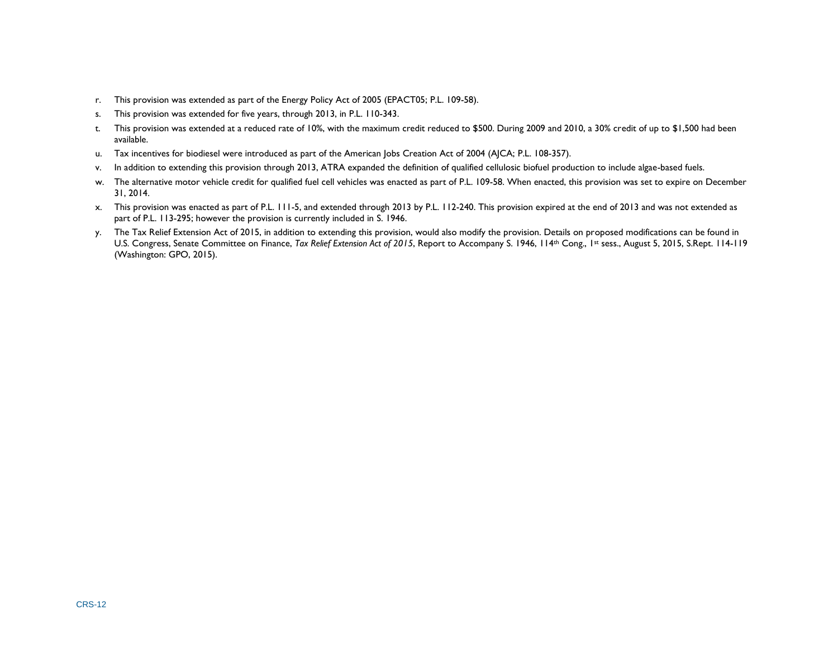- <span id="page-15-0"></span>r. This provision was extended as part of the Energy Policy Act of 2005 (EPACT05; P.L. 109-58).
- <span id="page-15-1"></span>s. This provision was extended for five years, through 2013, in P.L. 110-343.
- <span id="page-15-2"></span>t. This provision was extended at a reduced rate of 10%, with the maximum credit reduced to \$500. During 2009 and 2010, a 30% credit of up to \$1,500 had been available.
- <span id="page-15-3"></span>u. Tax incentives for biodiesel were introduced as part of the American Jobs Creation Act of 2004 (AJCA; P.L. 108-357).
- <span id="page-15-4"></span>v. In addition to extending this provision through 2013, ATRA expanded the definition of qualified cellulosic biofuel production to include algae-based fuels.
- <span id="page-15-5"></span>w. The alternative motor vehicle credit for qualified fuel cell vehicles was enacted as part of P.L. 109-58. When enacted, this provision was set to expire on December 31, 2014.
- <span id="page-15-6"></span>x. This provision was enacted as part of P.L. 111-5, and extended through 2013 by P.L. 112-240. This provision expired at the end of 2013 and was not extended as part of P.L. 113-295; however the provision is currently included in S. 1946.
- y. The Tax Relief Extension Act of 2015, in addition to extending this provision, would also modify the provision. Details on proposed modifications can be found in U.S. Congress, Senate Committee on Finance, *Tax Relief Extension Act of 2015*, Report to Accompany S. 1946, 114<sup>th</sup> Cong., <sup>1st</sup> sess., August 5, 2015, S.Rept. 114-119 (Washington: GPO, 2015).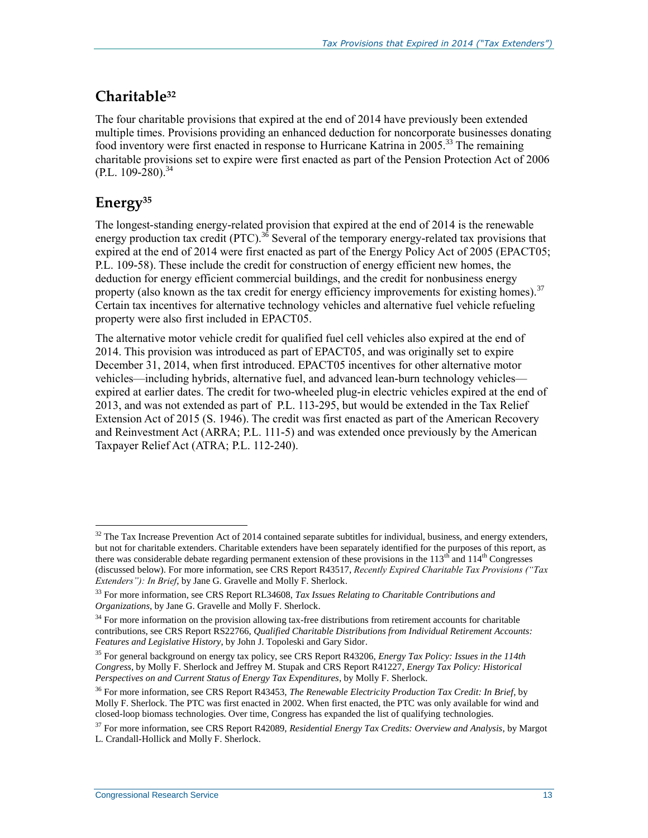## **Charitable<sup>32</sup>**

The four charitable provisions that expired at the end of 2014 have previously been extended multiple times. Provisions providing an enhanced deduction for noncorporate businesses donating food inventory were first enacted in response to Hurricane Katrina in 2005.<sup>33</sup> The remaining charitable provisions set to expire were first enacted as part of the Pension Protection Act of 2006  $(P.L. 109-280)^{34}$ 

## **Energy<sup>35</sup>**

 $\overline{a}$ 

The longest-standing energy-related provision that expired at the end of 2014 is the renewable energy production tax credit (PTC).<sup>36</sup> Several of the temporary energy-related tax provisions that expired at the end of 2014 were first enacted as part of the Energy Policy Act of 2005 (EPACT05; P.L. 109-58). These include the credit for construction of energy efficient new homes, the deduction for energy efficient commercial buildings, and the credit for nonbusiness energy property (also known as the tax credit for energy efficiency improvements for existing homes).<sup>37</sup> Certain tax incentives for alternative technology vehicles and alternative fuel vehicle refueling property were also first included in EPACT05.

The alternative motor vehicle credit for qualified fuel cell vehicles also expired at the end of 2014. This provision was introduced as part of EPACT05, and was originally set to expire December 31, 2014, when first introduced. EPACT05 incentives for other alternative motor vehicles—including hybrids, alternative fuel, and advanced lean-burn technology vehicles expired at earlier dates. The credit for two-wheeled plug-in electric vehicles expired at the end of 2013, and was not extended as part of P.L. 113-295, but would be extended in the Tax Relief Extension Act of 2015 (S. 1946). The credit was first enacted as part of the American Recovery and Reinvestment Act (ARRA; P.L. 111-5) and was extended once previously by the American Taxpayer Relief Act (ATRA; P.L. 112-240).

 $32$  The Tax Increase Prevention Act of 2014 contained separate subtitles for individual, business, and energy extenders, but not for charitable extenders. Charitable extenders have been separately identified for the purposes of this report, as there was considerable debate regarding permanent extension of these provisions in the  $113<sup>th</sup>$  and  $114<sup>th</sup>$  Congresses (discussed below). For more information, see CRS Report R43517, *Recently Expired Charitable Tax Provisions ("Tax Extenders"): In Brief*, by Jane G. Gravelle and Molly F. Sherlock.

<sup>33</sup> For more information, see CRS Report RL34608, *Tax Issues Relating to Charitable Contributions and Organizations*, by Jane G. Gravelle and Molly F. Sherlock.

<sup>&</sup>lt;sup>34</sup> For more information on the provision allowing tax-free distributions from retirement accounts for charitable contributions, see CRS Report RS22766, *Qualified Charitable Distributions from Individual Retirement Accounts: Features and Legislative History*, by John J. Topoleski and Gary Sidor.

<sup>35</sup> For general background on energy tax policy, see CRS Report R43206, *Energy Tax Policy: Issues in the 114th Congress*, by Molly F. Sherlock and Jeffrey M. Stupak and CRS Report R41227, *Energy Tax Policy: Historical Perspectives on and Current Status of Energy Tax Expenditures*, by Molly F. Sherlock.

<sup>36</sup> For more information, see CRS Report R43453, *The Renewable Electricity Production Tax Credit: In Brief*, by Molly F. Sherlock. The PTC was first enacted in 2002. When first enacted, the PTC was only available for wind and closed-loop biomass technologies. Over time, Congress has expanded the list of qualifying technologies.

<sup>37</sup> For more information, see CRS Report R42089, *Residential Energy Tax Credits: Overview and Analysis*, by Margot L. Crandall-Hollick and Molly F. Sherlock.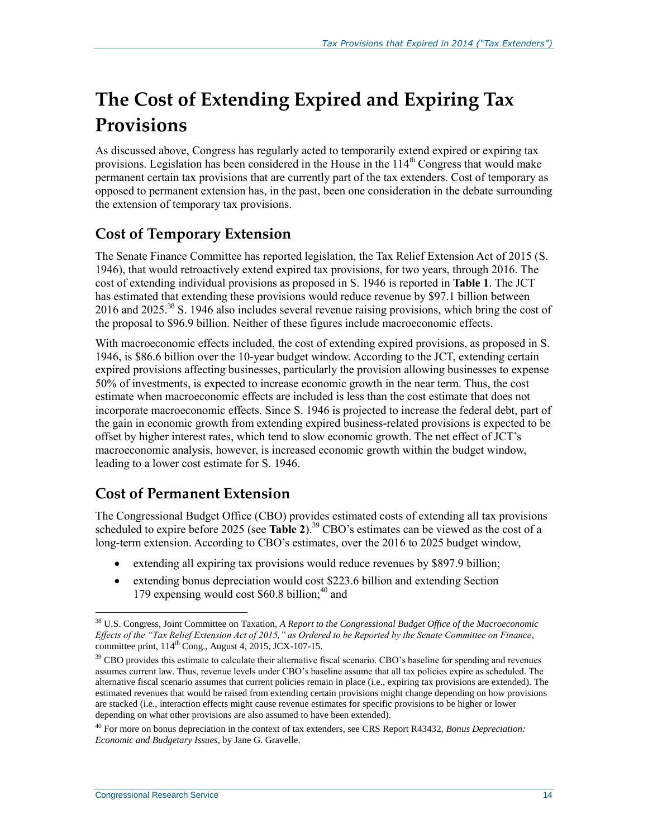# **The Cost of Extending Expired and Expiring Tax Provisions**

As discussed above, Congress has regularly acted to temporarily extend expired or expiring tax provisions. Legislation has been considered in the House in the  $114<sup>th</sup>$  Congress that would make permanent certain tax provisions that are currently part of the tax extenders. Cost of temporary as opposed to permanent extension has, in the past, been one consideration in the debate surrounding the extension of temporary tax provisions.

### **Cost of Temporary Extension**

The Senate Finance Committee has reported legislation, the Tax Relief Extension Act of 2015 (S. 1946), that would retroactively extend expired tax provisions, for two years, through 2016. The cost of extending individual provisions as proposed in S. 1946 is reported in **[Table 1](#page-10-0)**. The JCT has estimated that extending these provisions would reduce revenue by \$97.1 billion between 2016 and 2025.<sup>38</sup> S. 1946 also includes several revenue raising provisions, which bring the cost of the proposal to \$96.9 billion. Neither of these figures include macroeconomic effects.

With macroeconomic effects included, the cost of extending expired provisions, as proposed in S. 1946, is \$86.6 billion over the 10-year budget window. According to the JCT, extending certain expired provisions affecting businesses, particularly the provision allowing businesses to expense 50% of investments, is expected to increase economic growth in the near term. Thus, the cost estimate when macroeconomic effects are included is less than the cost estimate that does not incorporate macroeconomic effects. Since S. 1946 is projected to increase the federal debt, part of the gain in economic growth from extending expired business-related provisions is expected to be offset by higher interest rates, which tend to slow economic growth. The net effect of JCT's macroeconomic analysis, however, is increased economic growth within the budget window, leading to a lower cost estimate for S. 1946.

### **Cost of Permanent Extension**

The Congressional Budget Office (CBO) provides estimated costs of extending all tax provisions scheduled to expire before 2025 (see **[Table 2](#page-19-0)**).<sup>39</sup> CBO's estimates can be viewed as the cost of a long-term extension. According to CBO's estimates, over the 2016 to 2025 budget window,

- extending all expiring tax provisions would reduce revenues by \$897.9 billion;
- extending bonus depreciation would cost \$223.6 billion and extending Section 179 expensing would cost  $$60.8$  billion;<sup>40</sup> and

 $\overline{a}$ <sup>38</sup> U.S. Congress, Joint Committee on Taxation, *A Report to the Congressional Budget Office of the Macroeconomic Effects of the "Tax Relief Extension Act of 2015," as Ordered to be Reported by the Senate Committee on Finance*, committee print, 114<sup>th</sup> Cong., August 4, 2015, JCX-107-15.

<sup>&</sup>lt;sup>39</sup> CBO provides this estimate to calculate their alternative fiscal scenario. CBO's baseline for spending and revenues assumes current law. Thus, revenue levels under CBO's baseline assume that all tax policies expire as scheduled. The alternative fiscal scenario assumes that current policies remain in place (i.e., expiring tax provisions are extended). The estimated revenues that would be raised from extending certain provisions might change depending on how provisions are stacked (i.e., interaction effects might cause revenue estimates for specific provisions to be higher or lower depending on what other provisions are also assumed to have been extended).

<sup>40</sup> For more on bonus depreciation in the context of tax extenders, see CRS Report R43432, *Bonus Depreciation: Economic and Budgetary Issues*, by Jane G. Gravelle.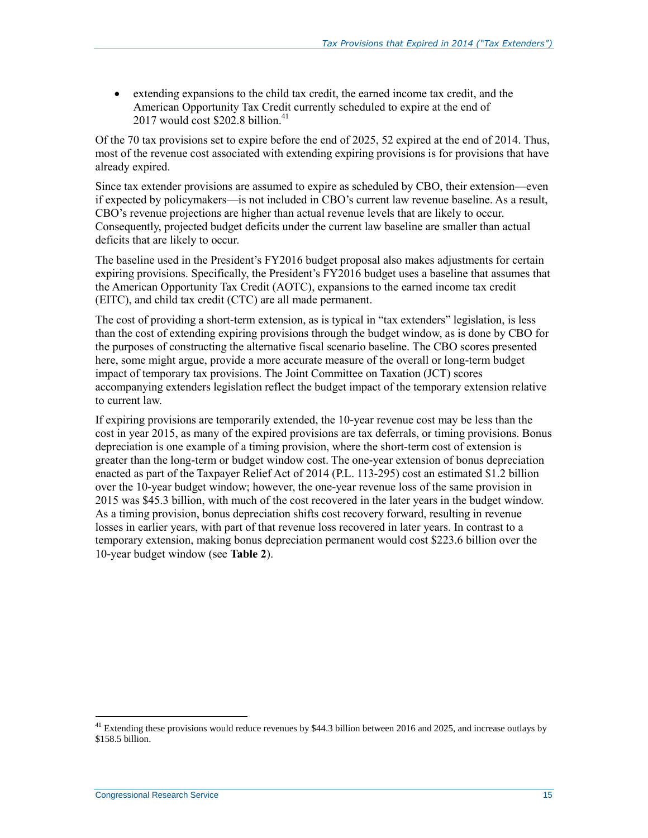extending expansions to the child tax credit, the earned income tax credit, and the American Opportunity Tax Credit currently scheduled to expire at the end of  $2017$  would cost \$202.8 billion.<sup>41</sup>

Of the 70 tax provisions set to expire before the end of 2025, 52 expired at the end of 2014. Thus, most of the revenue cost associated with extending expiring provisions is for provisions that have already expired.

Since tax extender provisions are assumed to expire as scheduled by CBO, their extension—even if expected by policymakers—is not included in CBO's current law revenue baseline. As a result, CBO's revenue projections are higher than actual revenue levels that are likely to occur. Consequently, projected budget deficits under the current law baseline are smaller than actual deficits that are likely to occur.

The baseline used in the President's FY2016 budget proposal also makes adjustments for certain expiring provisions. Specifically, the President's FY2016 budget uses a baseline that assumes that the American Opportunity Tax Credit (AOTC), expansions to the earned income tax credit (EITC), and child tax credit (CTC) are all made permanent.

The cost of providing a short-term extension, as is typical in "tax extenders" legislation, is less than the cost of extending expiring provisions through the budget window, as is done by CBO for the purposes of constructing the alternative fiscal scenario baseline. The CBO scores presented here, some might argue, provide a more accurate measure of the overall or long-term budget impact of temporary tax provisions. The Joint Committee on Taxation (JCT) scores accompanying extenders legislation reflect the budget impact of the temporary extension relative to current law.

If expiring provisions are temporarily extended, the 10-year revenue cost may be less than the cost in year 2015, as many of the expired provisions are tax deferrals, or timing provisions. Bonus depreciation is one example of a timing provision, where the short-term cost of extension is greater than the long-term or budget window cost. The one-year extension of bonus depreciation enacted as part of the Taxpayer Relief Act of 2014 (P.L. 113-295) cost an estimated \$1.2 billion over the 10-year budget window; however, the one-year revenue loss of the same provision in 2015 was \$45.3 billion, with much of the cost recovered in the later years in the budget window. As a timing provision, bonus depreciation shifts cost recovery forward, resulting in revenue losses in earlier years, with part of that revenue loss recovered in later years. In contrast to a temporary extension, making bonus depreciation permanent would cost \$223.6 billion over the 10-year budget window (see **[Table 2](#page-19-0)**).

 $41$  Extending these provisions would reduce revenues by \$44.3 billion between 2016 and 2025, and increase outlays by \$158.5 billion.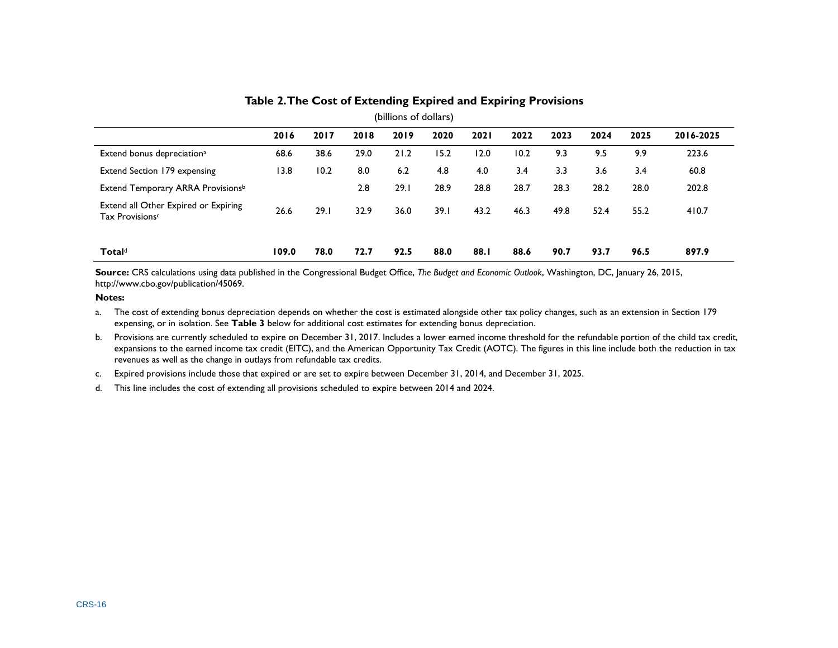| (billions of dollars)                                               |       |      |      |      |      |             |      |      |      |      |           |
|---------------------------------------------------------------------|-------|------|------|------|------|-------------|------|------|------|------|-----------|
|                                                                     | 2016  | 2017 | 2018 | 2019 | 2020 | <b>2021</b> | 2022 | 2023 | 2024 | 2025 | 2016-2025 |
| Extend bonus depreciation <sup>a</sup>                              | 68.6  | 38.6 | 29.0 | 21.2 | 15.2 | 12.0        | 10.2 | 9.3  | 9.5  | 9.9  | 223.6     |
| Extend Section 179 expensing                                        | 13.8  | 10.2 | 8.0  | 6.2  | 4.8  | 4.0         | 3.4  | 3.3  | 3.6  | 3.4  | 60.8      |
| Extend Temporary ARRA Provisionsb                                   |       |      | 2.8  | 29.1 | 28.9 | 28.8        | 28.7 | 28.3 | 28.2 | 28.0 | 202.8     |
| Extend all Other Expired or Expiring<br>Tax Provisions <sup>c</sup> | 26.6  | 29.1 | 32.9 | 36.0 | 39.1 | 43.2        | 46.3 | 49.8 | 52.4 | 55.2 | 410.7     |
| <b>Total</b> <sup>d</sup>                                           | 109.0 | 78.0 | 72.7 | 92.5 | 88.0 | 88.I        | 88.6 | 90.7 | 93.7 | 96.5 | 897.9     |

#### **Table 2. The Cost of Extending Expired and Expiring Provisions**

**Source:** CRS calculations using data published in the Congressional Budget Office, *The Budget and Economic Outlook*, Washington, DC, January 26, 2015, http://www.cbo.gov/publication/45069.

#### <span id="page-19-0"></span>**Notes:**

- <span id="page-19-1"></span>a. The cost of extending bonus depreciation depends on whether the cost is estimated alongside other tax policy changes, such as an extension in Section 179 expensing, or in isolation. See **[Table 3](#page-22-0)** below for additional cost estimates for extending bonus depreciation.
- <span id="page-19-2"></span>b. Provisions are currently scheduled to expire on December 31, 2017. Includes a lower earned income threshold for the refundable portion of the child tax credit, expansions to the earned income tax credit (EITC), and the American Opportunity Tax Credit (AOTC). The figures in this line include both the reduction in tax revenues as well as the change in outlays from refundable tax credits.
- <span id="page-19-3"></span>c. Expired provisions include those that expired or are set to expire between December 31, 2014, and December 31, 2025.
- <span id="page-19-4"></span>d. This line includes the cost of extending all provisions scheduled to expire between 2014 and 2024.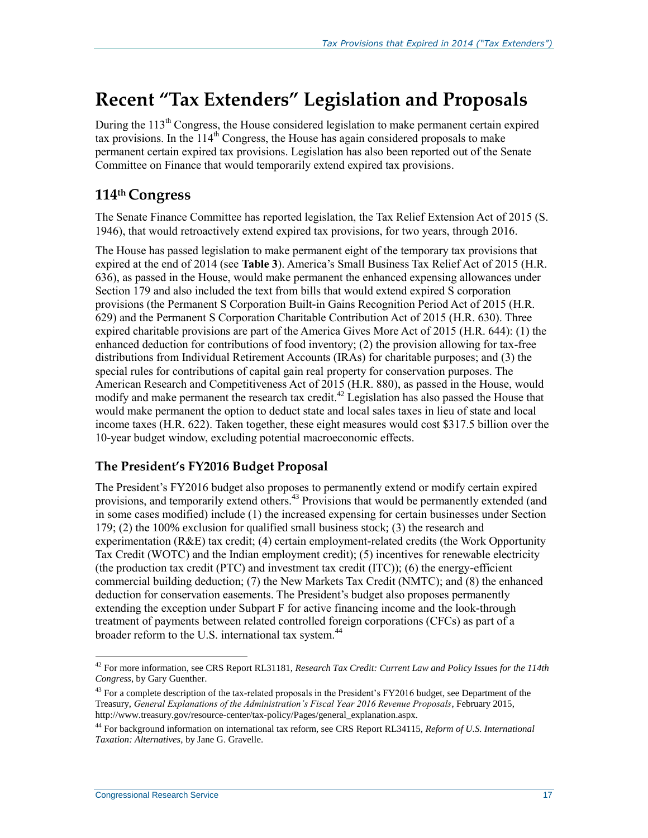# **Recent "Tax Extenders" Legislation and Proposals**

During the 113<sup>th</sup> Congress, the House considered legislation to make permanent certain expired tax provisions. In the  $114<sup>th</sup>$  Congress, the House has again considered proposals to make permanent certain expired tax provisions. Legislation has also been reported out of the Senate Committee on Finance that would temporarily extend expired tax provisions.

#### **114th Congress**

The Senate Finance Committee has reported legislation, the Tax Relief Extension Act of 2015 (S. 1946), that would retroactively extend expired tax provisions, for two years, through 2016.

The House has passed legislation to make permanent eight of the temporary tax provisions that expired at the end of 2014 (see **[Table 3](#page-22-1)**). America's Small Business Tax Relief Act of 2015 (H.R. 636), as passed in the House, would make permanent the enhanced expensing allowances under Section 179 and also included the text from bills that would extend expired S corporation provisions (the Permanent S Corporation Built-in Gains Recognition Period Act of 2015 (H.R. 629) and the Permanent S Corporation Charitable Contribution Act of 2015 (H.R. 630). Three expired charitable provisions are part of the America Gives More Act of 2015 (H.R. 644): (1) the enhanced deduction for contributions of food inventory; (2) the provision allowing for tax-free distributions from Individual Retirement Accounts (IRAs) for charitable purposes; and (3) the special rules for contributions of capital gain real property for conservation purposes. The American Research and Competitiveness Act of 2015 (H.R. 880), as passed in the House, would modify and make permanent the research tax credit.<sup>42</sup> Legislation has also passed the House that would make permanent the option to deduct state and local sales taxes in lieu of state and local income taxes (H.R. 622). Taken together, these eight measures would cost \$317.5 billion over the 10-year budget window, excluding potential macroeconomic effects.

#### **The President's FY2016 Budget Proposal**

The President's FY2016 budget also proposes to permanently extend or modify certain expired provisions, and temporarily extend others.<sup>43</sup> Provisions that would be permanently extended (and in some cases modified) include (1) the increased expensing for certain businesses under Section 179; (2) the 100% exclusion for qualified small business stock; (3) the research and experimentation (R&E) tax credit; (4) certain employment-related credits (the Work Opportunity Tax Credit (WOTC) and the Indian employment credit); (5) incentives for renewable electricity (the production tax credit (PTC) and investment tax credit (ITC)); (6) the energy-efficient commercial building deduction; (7) the New Markets Tax Credit (NMTC); and (8) the enhanced deduction for conservation easements. The President's budget also proposes permanently extending the exception under Subpart F for active financing income and the look-through treatment of payments between related controlled foreign corporations (CFCs) as part of a broader reform to the U.S. international tax system.<sup>44</sup>

<sup>42</sup> For more information, see CRS Report RL31181, *Research Tax Credit: Current Law and Policy Issues for the 114th Congress*, by Gary Guenther.

<sup>&</sup>lt;sup>43</sup> For a complete description of the tax-related proposals in the President's FY2016 budget, see Department of the Treasury, *General Explanations of the Administration's Fiscal Year 2016 Revenue Proposals*, February 2015, http://www.treasury.gov/resource-center/tax-policy/Pages/general\_explanation.aspx.

<sup>44</sup> For background information on international tax reform, see CRS Report RL34115, *Reform of U.S. International Taxation: Alternatives*, by Jane G. Gravelle.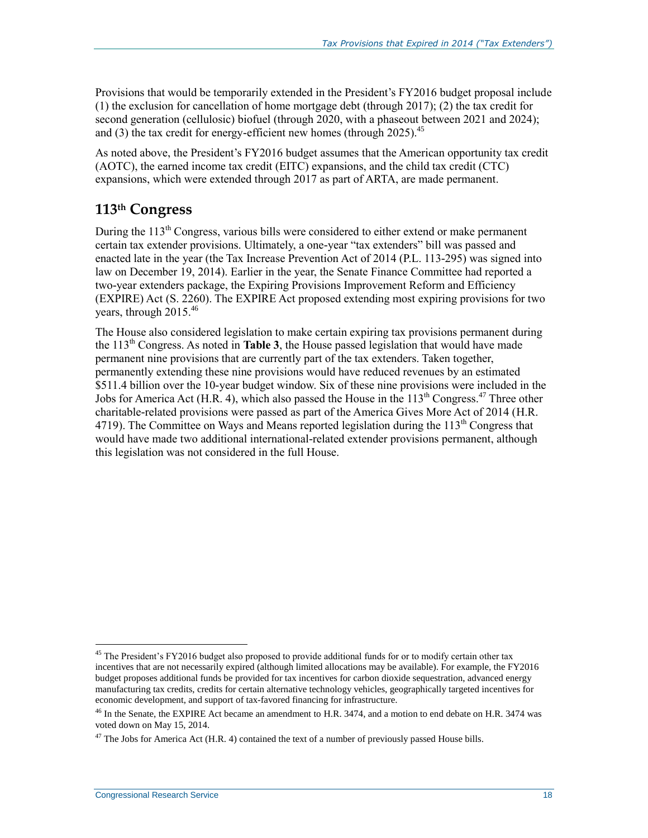Provisions that would be temporarily extended in the President's FY2016 budget proposal include (1) the exclusion for cancellation of home mortgage debt (through 2017); (2) the tax credit for second generation (cellulosic) biofuel (through 2020, with a phaseout between 2021 and 2024); and (3) the tax credit for energy-efficient new homes (through  $2025$ ).<sup>45</sup>

As noted above, the President's FY2016 budget assumes that the American opportunity tax credit (AOTC), the earned income tax credit (EITC) expansions, and the child tax credit (CTC) expansions, which were extended through 2017 as part of ARTA, are made permanent.

### **113th Congress**

During the 113<sup>th</sup> Congress, various bills were considered to either extend or make permanent certain tax extender provisions. Ultimately, a one-year "tax extenders" bill was passed and enacted late in the year (the Tax Increase Prevention Act of 2014 (P.L. 113-295) was signed into law on December 19, 2014). Earlier in the year, the Senate Finance Committee had reported a two-year extenders package, the Expiring Provisions Improvement Reform and Efficiency (EXPIRE) Act (S. 2260). The EXPIRE Act proposed extending most expiring provisions for two years, through  $2015^{46}$ 

The House also considered legislation to make certain expiring tax provisions permanent during the  $113<sup>th</sup>$  Congress. As noted in **[Table 3](#page-22-1)**, the House passed legislation that would have made permanent nine provisions that are currently part of the tax extenders. Taken together, permanently extending these nine provisions would have reduced revenues by an estimated \$511.4 billion over the 10-year budget window. Six of these nine provisions were included in the Jobs for America Act (H.R. 4), which also passed the House in the  $113<sup>th</sup>$  Congress.<sup>47</sup> Three other charitable-related provisions were passed as part of the America Gives More Act of 2014 (H.R. 4719). The Committee on Ways and Means reported legislation during the  $113<sup>th</sup>$  Congress that would have made two additional international-related extender provisions permanent, although this legislation was not considered in the full House.

 $\overline{a}$ <sup>45</sup> The President's FY2016 budget also proposed to provide additional funds for or to modify certain other tax incentives that are not necessarily expired (although limited allocations may be available). For example, the FY2016 budget proposes additional funds be provided for tax incentives for carbon dioxide sequestration, advanced energy manufacturing tax credits, credits for certain alternative technology vehicles, geographically targeted incentives for economic development, and support of tax-favored financing for infrastructure.

<sup>&</sup>lt;sup>46</sup> In the Senate, the EXPIRE Act became an amendment to H.R. 3474, and a motion to end debate on H.R. 3474 was voted down on May 15, 2014.

 $47$  The Jobs for America Act (H.R. 4) contained the text of a number of previously passed House bills.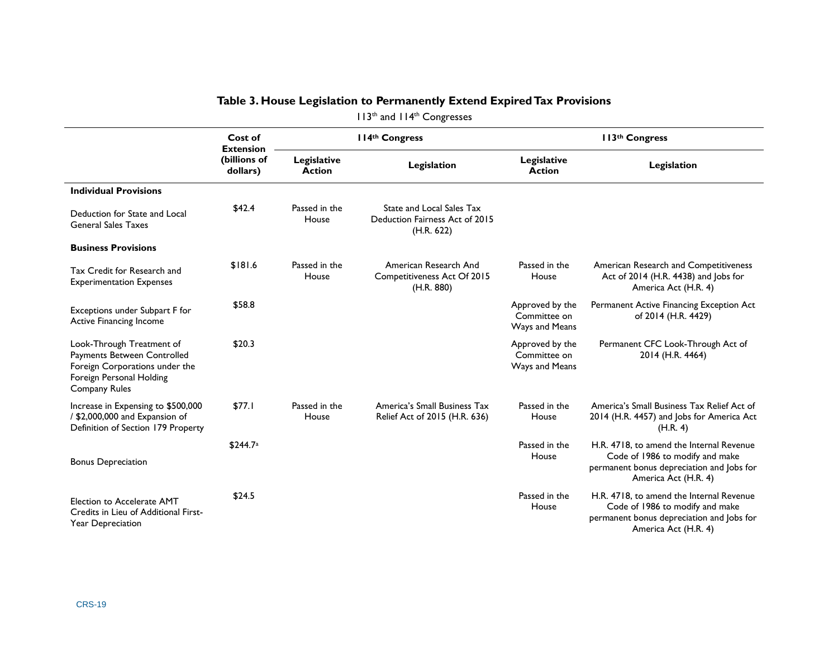<span id="page-22-1"></span><span id="page-22-0"></span>

|                                                                                                                                                | Cost of                                      |                              | II4th Congress                                                            |                                                   | 113th Congress                                                                                                                                   |
|------------------------------------------------------------------------------------------------------------------------------------------------|----------------------------------------------|------------------------------|---------------------------------------------------------------------------|---------------------------------------------------|--------------------------------------------------------------------------------------------------------------------------------------------------|
|                                                                                                                                                | <b>Extension</b><br>(billions of<br>dollars) | Legislative<br><b>Action</b> | Legislation                                                               | Legislative<br><b>Action</b>                      | Legislation                                                                                                                                      |
| <b>Individual Provisions</b>                                                                                                                   |                                              |                              |                                                                           |                                                   |                                                                                                                                                  |
| Deduction for State and Local<br><b>General Sales Taxes</b>                                                                                    | \$42.4                                       | Passed in the<br>House       | State and Local Sales Tax<br>Deduction Fairness Act of 2015<br>(H.R. 622) |                                                   |                                                                                                                                                  |
| <b>Business Provisions</b>                                                                                                                     |                                              |                              |                                                                           |                                                   |                                                                                                                                                  |
| Tax Credit for Research and<br><b>Experimentation Expenses</b>                                                                                 | \$181.6                                      | Passed in the<br>House       | American Research And<br>Competitiveness Act Of 2015<br>(H.R. 880)        | Passed in the<br>House                            | American Research and Competitiveness<br>Act of 2014 (H.R. 4438) and Jobs for<br>America Act (H.R. 4)                                            |
| Exceptions under Subpart F for<br>Active Financing Income                                                                                      | \$58.8                                       |                              |                                                                           | Approved by the<br>Committee on<br>Ways and Means | Permanent Active Financing Exception Act<br>of 2014 (H.R. 4429)                                                                                  |
| Look-Through Treatment of<br>Payments Between Controlled<br>Foreign Corporations under the<br>Foreign Personal Holding<br><b>Company Rules</b> | \$20.3                                       |                              |                                                                           | Approved by the<br>Committee on<br>Ways and Means | Permanent CFC Look-Through Act of<br>2014 (H.R. 4464)                                                                                            |
| Increase in Expensing to \$500,000<br>/ \$2,000,000 and Expansion of<br>Definition of Section 179 Property                                     | \$77.1                                       | Passed in the<br>House       | America's Small Business Tax<br>Relief Act of 2015 (H.R. 636)             | Passed in the<br>House                            | America's Small Business Tax Relief Act of<br>2014 (H.R. 4457) and Jobs for America Act<br>(H.R. 4)                                              |
| <b>Bonus Depreciation</b>                                                                                                                      | \$244.7 <sup>a</sup>                         |                              |                                                                           | Passed in the<br>House                            | H.R. 4718, to amend the Internal Revenue<br>Code of 1986 to modify and make<br>permanent bonus depreciation and Jobs for<br>America Act (H.R. 4) |
| Election to Accelerate AMT<br>Credits in Lieu of Additional First-<br><b>Year Depreciation</b>                                                 | \$24.5                                       |                              |                                                                           | Passed in the<br>House                            | H.R. 4718, to amend the Internal Revenue<br>Code of 1986 to modify and make<br>permanent bonus depreciation and Jobs for<br>America Act (H.R. 4) |

#### **Table 3. House Legislation to Permanently Extend Expired Tax Provisions** 113<sup>th</sup> and 114<sup>th</sup> Congresses

CRS-19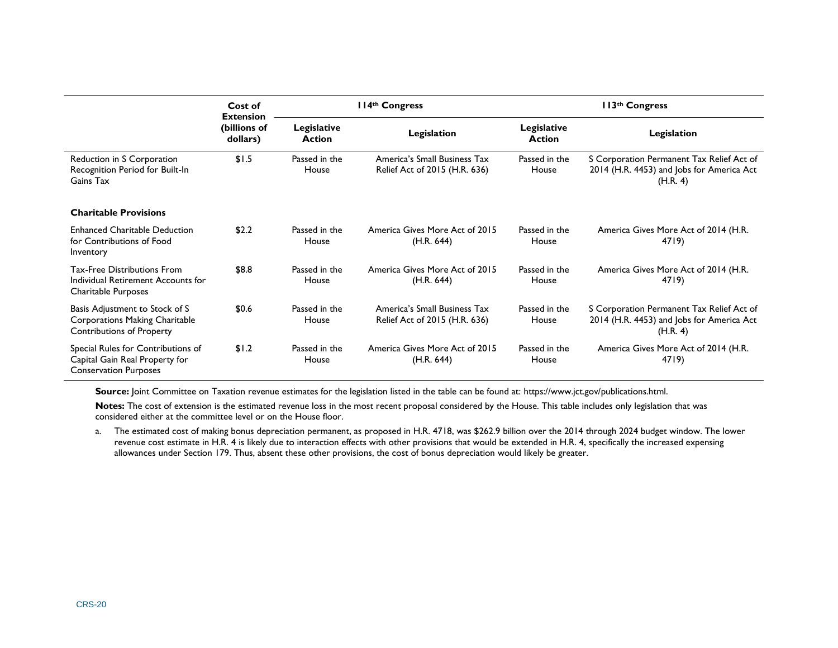|                                                                                                      | Cost of                                      |                              | II4th Congress                                                |                              | 113 <sup>th</sup> Congress                                                                         |  |  |  |
|------------------------------------------------------------------------------------------------------|----------------------------------------------|------------------------------|---------------------------------------------------------------|------------------------------|----------------------------------------------------------------------------------------------------|--|--|--|
|                                                                                                      | <b>Extension</b><br>(billions of<br>dollars) | Legislative<br><b>Action</b> | Legislation                                                   | Legislative<br><b>Action</b> | Legislation                                                                                        |  |  |  |
| Reduction in S Corporation<br>Recognition Period for Built-In<br>Gains Tax                           | \$1.5                                        | Passed in the<br>House       | America's Small Business Tax<br>Relief Act of 2015 (H.R. 636) | Passed in the<br>House       | S Corporation Permanent Tax Relief Act of<br>2014 (H.R. 4453) and Jobs for America Act<br>(H.R. 4) |  |  |  |
| <b>Charitable Provisions</b>                                                                         |                                              |                              |                                                               |                              |                                                                                                    |  |  |  |
| <b>Enhanced Charitable Deduction</b><br>for Contributions of Food<br>Inventory                       | \$2.2                                        | Passed in the<br>House       | America Gives More Act of 2015<br>(H.R. 644)                  | Passed in the<br>House       | America Gives More Act of 2014 (H.R.<br>4719)                                                      |  |  |  |
| <b>Tax-Free Distributions From</b><br>Individual Retirement Accounts for<br>Charitable Purposes      | \$8.8                                        | Passed in the<br>House       | America Gives More Act of 2015<br>(H.R. 644)                  | Passed in the<br>House       | America Gives More Act of 2014 (H.R.<br>4719)                                                      |  |  |  |
| Basis Adjustment to Stock of S<br>Corporations Making Charitable<br><b>Contributions of Property</b> | \$0.6                                        | Passed in the<br>House       | America's Small Business Tax<br>Relief Act of 2015 (H.R. 636) | Passed in the<br>House       | S Corporation Permanent Tax Relief Act of<br>2014 (H.R. 4453) and Jobs for America Act<br>(H.R. 4) |  |  |  |
| Special Rules for Contributions of<br>Capital Gain Real Property for<br><b>Conservation Purposes</b> | \$1.2                                        | Passed in the<br>House       | America Gives More Act of 2015<br>(H.R. 644)                  | Passed in the<br>House       | America Gives More Act of 2014 (H.R.<br>4719)                                                      |  |  |  |

**Source:** Joint Committee on Taxation revenue estimates for the legislation listed in the table can be found at: https://www.jct.gov/publications.html.

Notes: The cost of extension is the estimated revenue loss in the most recent proposal considered by the House. This table includes only legislation that was considered either at the committee level or on the House floor.

<span id="page-23-0"></span>a. The estimated cost of making bonus depreciation permanent, as proposed in H.R. 4718, was \$262.9 billion over the 2014 through 2024 budget window. The lower revenue cost estimate in H.R. 4 is likely due to interaction effects with other provisions that would be extended in H.R. 4, specifically the increased expensing allowances under Section 179. Thus, absent these other provisions, the cost of bonus depreciation would likely be greater.